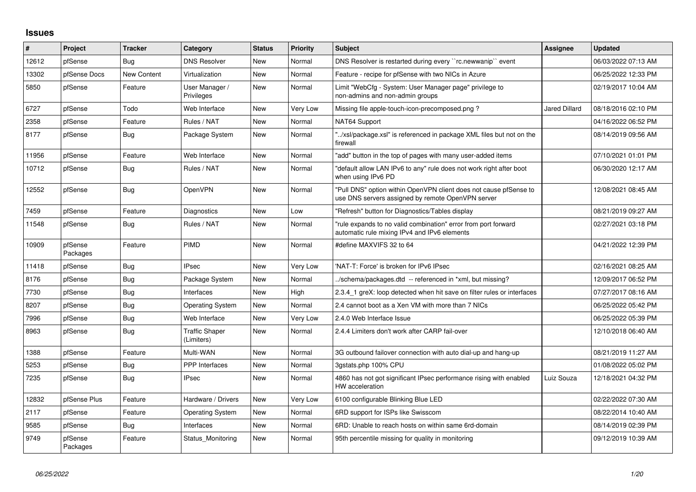## **Issues**

| $\#$  | Project             | <b>Tracker</b>     | Category                            | <b>Status</b> | <b>Priority</b> | <b>Subject</b>                                                                                                         | Assignee             | <b>Updated</b>      |
|-------|---------------------|--------------------|-------------------------------------|---------------|-----------------|------------------------------------------------------------------------------------------------------------------------|----------------------|---------------------|
| 12612 | pfSense             | Bug                | <b>DNS Resolver</b>                 | <b>New</b>    | Normal          | DNS Resolver is restarted during every "rc.newwanip" event                                                             |                      | 06/03/2022 07:13 AM |
| 13302 | pfSense Docs        | <b>New Content</b> | Virtualization                      | <b>New</b>    | Normal          | Feature - recipe for pfSense with two NICs in Azure                                                                    |                      | 06/25/2022 12:33 PM |
| 5850  | pfSense             | Feature            | User Manager /<br>Privileges        | <b>New</b>    | Normal          | Limit "WebCfg - System: User Manager page" privilege to<br>non-admins and non-admin groups                             |                      | 02/19/2017 10:04 AM |
| 6727  | pfSense             | Todo               | Web Interface                       | New           | <b>Very Low</b> | Missing file apple-touch-icon-precomposed.png?                                                                         | <b>Jared Dillard</b> | 08/18/2016 02:10 PM |
| 2358  | pfSense             | Feature            | Rules / NAT                         | <b>New</b>    | Normal          | NAT64 Support                                                                                                          |                      | 04/16/2022 06:52 PM |
| 8177  | pfSense             | Bug                | Package System                      | <b>New</b>    | Normal          | "/xsl/package.xsl" is referenced in package XML files but not on the<br>firewall                                       |                      | 08/14/2019 09:56 AM |
| 11956 | pfSense             | Feature            | Web Interface                       | <b>New</b>    | Normal          | 'add" button in the top of pages with many user-added items                                                            |                      | 07/10/2021 01:01 PM |
| 10712 | pfSense             | Bug                | Rules / NAT                         | New           | Normal          | "default allow LAN IPv6 to any" rule does not work right after boot<br>when using IPv6 PD                              |                      | 06/30/2020 12:17 AM |
| 12552 | pfSense             | Bug                | OpenVPN                             | <b>New</b>    | Normal          | "Pull DNS" option within OpenVPN client does not cause pfSense to<br>use DNS servers assigned by remote OpenVPN server |                      | 12/08/2021 08:45 AM |
| 7459  | pfSense             | Feature            | Diagnostics                         | <b>New</b>    | Low             | "Refresh" button for Diagnostics/Tables display                                                                        |                      | 08/21/2019 09:27 AM |
| 11548 | pfSense             | Bug                | Rules / NAT                         | <b>New</b>    | Normal          | "rule expands to no valid combination" error from port forward<br>automatic rule mixing IPv4 and IPv6 elements         |                      | 02/27/2021 03:18 PM |
| 10909 | pfSense<br>Packages | Feature            | PIMD                                | New           | Normal          | #define MAXVIFS 32 to 64                                                                                               |                      | 04/21/2022 12:39 PM |
| 11418 | pfSense             | Bug                | <b>IPsec</b>                        | <b>New</b>    | Very Low        | 'NAT-T: Force' is broken for IPv6 IPsec                                                                                |                      | 02/16/2021 08:25 AM |
| 8176  | pfSense             | Bug                | Package System                      | <b>New</b>    | Normal          | ./schema/packages.dtd -- referenced in *xml, but missing?                                                              |                      | 12/09/2017 06:52 PM |
| 7730  | pfSense             | <b>Bug</b>         | Interfaces                          | <b>New</b>    | High            | 2.3.4 1 greX: loop detected when hit save on filter rules or interfaces                                                |                      | 07/27/2017 08:16 AM |
| 8207  | pfSense             | Bug                | <b>Operating System</b>             | <b>New</b>    | Normal          | 2.4 cannot boot as a Xen VM with more than 7 NICs                                                                      |                      | 06/25/2022 05:42 PM |
| 7996  | pfSense             | <b>Bug</b>         | Web Interface                       | <b>New</b>    | Very Low        | 2.4.0 Web Interface Issue                                                                                              |                      | 06/25/2022 05:39 PM |
| 8963  | pfSense             | Bug                | <b>Traffic Shaper</b><br>(Limiters) | New           | Normal          | 2.4.4 Limiters don't work after CARP fail-over                                                                         |                      | 12/10/2018 06:40 AM |
| 1388  | pfSense             | Feature            | Multi-WAN                           | <b>New</b>    | Normal          | 3G outbound failover connection with auto dial-up and hang-up                                                          |                      | 08/21/2019 11:27 AM |
| 5253  | pfSense             | Bug                | <b>PPP</b> Interfaces               | <b>New</b>    | Normal          | 3qstats.php 100% CPU                                                                                                   |                      | 01/08/2022 05:02 PM |
| 7235  | pfSense             | Bug                | <b>IPsec</b>                        | <b>New</b>    | Normal          | 4860 has not got significant IPsec performance rising with enabled<br>HW acceleration                                  | Luiz Souza           | 12/18/2021 04:32 PM |
| 12832 | pfSense Plus        | Feature            | Hardware / Drivers                  | <b>New</b>    | Very Low        | 6100 configurable Blinking Blue LED                                                                                    |                      | 02/22/2022 07:30 AM |
| 2117  | pfSense             | Feature            | <b>Operating System</b>             | <b>New</b>    | Normal          | 6RD support for ISPs like Swisscom                                                                                     |                      | 08/22/2014 10:40 AM |
| 9585  | pfSense             | <b>Bug</b>         | Interfaces                          | <b>New</b>    | Normal          | 6RD: Unable to reach hosts on within same 6rd-domain                                                                   |                      | 08/14/2019 02:39 PM |
| 9749  | pfSense<br>Packages | Feature            | Status_Monitoring                   | New           | Normal          | 95th percentile missing for quality in monitoring                                                                      |                      | 09/12/2019 10:39 AM |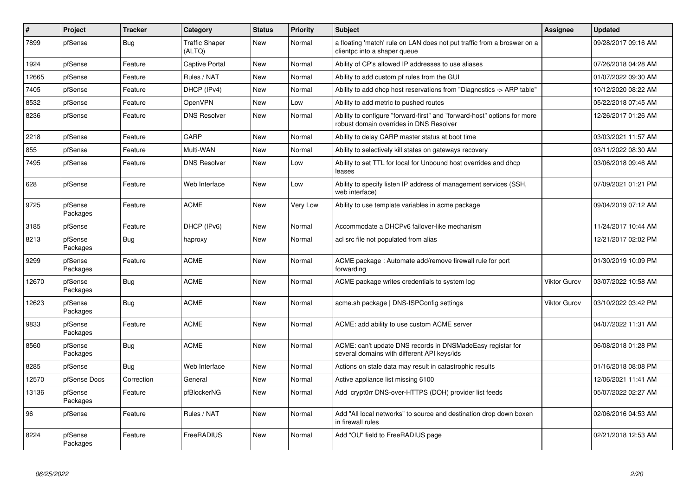| $\vert$ # | Project             | <b>Tracker</b> | Category                        | <b>Status</b> | <b>Priority</b> | <b>Subject</b>                                                                                                      | Assignee            | <b>Updated</b>      |
|-----------|---------------------|----------------|---------------------------------|---------------|-----------------|---------------------------------------------------------------------------------------------------------------------|---------------------|---------------------|
| 7899      | pfSense             | <b>Bug</b>     | <b>Traffic Shaper</b><br>(ALTQ) | <b>New</b>    | Normal          | a floating 'match' rule on LAN does not put traffic from a broswer on a<br>clientpc into a shaper queue             |                     | 09/28/2017 09:16 AM |
| 1924      | pfSense             | Feature        | Captive Portal                  | <b>New</b>    | Normal          | Ability of CP's allowed IP addresses to use aliases                                                                 |                     | 07/26/2018 04:28 AM |
| 12665     | pfSense             | Feature        | Rules / NAT                     | <b>New</b>    | Normal          | Ability to add custom pf rules from the GUI                                                                         |                     | 01/07/2022 09:30 AM |
| 7405      | pfSense             | Feature        | DHCP (IPv4)                     | <b>New</b>    | Normal          | Ability to add dhcp host reservations from "Diagnostics -> ARP table"                                               |                     | 10/12/2020 08:22 AM |
| 8532      | pfSense             | Feature        | OpenVPN                         | New           | Low             | Ability to add metric to pushed routes                                                                              |                     | 05/22/2018 07:45 AM |
| 8236      | pfSense             | Feature        | <b>DNS Resolver</b>             | <b>New</b>    | Normal          | Ability to configure "forward-first" and "forward-host" options for more<br>robust domain overrides in DNS Resolver |                     | 12/26/2017 01:26 AM |
| 2218      | pfSense             | Feature        | CARP                            | <b>New</b>    | Normal          | Ability to delay CARP master status at boot time                                                                    |                     | 03/03/2021 11:57 AM |
| 855       | pfSense             | Feature        | Multi-WAN                       | <b>New</b>    | Normal          | Ability to selectively kill states on gateways recovery                                                             |                     | 03/11/2022 08:30 AM |
| 7495      | pfSense             | Feature        | <b>DNS Resolver</b>             | <b>New</b>    | Low             | Ability to set TTL for local for Unbound host overrides and dhcp<br>leases                                          |                     | 03/06/2018 09:46 AM |
| 628       | pfSense             | Feature        | Web Interface                   | <b>New</b>    | Low             | Ability to specify listen IP address of management services (SSH,<br>web interface)                                 |                     | 07/09/2021 01:21 PM |
| 9725      | pfSense<br>Packages | Feature        | <b>ACME</b>                     | <b>New</b>    | <b>Very Low</b> | Ability to use template variables in acme package                                                                   |                     | 09/04/2019 07:12 AM |
| 3185      | pfSense             | Feature        | DHCP (IPv6)                     | <b>New</b>    | Normal          | Accommodate a DHCPv6 failover-like mechanism                                                                        |                     | 11/24/2017 10:44 AM |
| 8213      | pfSense<br>Packages | Bug            | haproxy                         | <b>New</b>    | Normal          | acl src file not populated from alias                                                                               |                     | 12/21/2017 02:02 PM |
| 9299      | pfSense<br>Packages | Feature        | <b>ACME</b>                     | <b>New</b>    | Normal          | ACME package : Automate add/remove firewall rule for port<br>forwarding                                             |                     | 01/30/2019 10:09 PM |
| 12670     | pfSense<br>Packages | Bug            | <b>ACME</b>                     | <b>New</b>    | Normal          | ACME package writes credentials to system log                                                                       | <b>Viktor Gurov</b> | 03/07/2022 10:58 AM |
| 12623     | pfSense<br>Packages | <b>Bug</b>     | <b>ACME</b>                     | New           | Normal          | acme.sh package   DNS-ISPConfig settings                                                                            | <b>Viktor Gurov</b> | 03/10/2022 03:42 PM |
| 9833      | pfSense<br>Packages | Feature        | <b>ACME</b>                     | <b>New</b>    | Normal          | ACME: add ability to use custom ACME server                                                                         |                     | 04/07/2022 11:31 AM |
| 8560      | pfSense<br>Packages | Bug            | <b>ACME</b>                     | <b>New</b>    | Normal          | ACME: can't update DNS records in DNSMadeEasy registar for<br>several domains with different API keys/ids           |                     | 06/08/2018 01:28 PM |
| 8285      | pfSense             | <b>Bug</b>     | Web Interface                   | <b>New</b>    | Normal          | Actions on stale data may result in catastrophic results                                                            |                     | 01/16/2018 08:08 PM |
| 12570     | pfSense Docs        | Correction     | General                         | <b>New</b>    | Normal          | Active appliance list missing 6100                                                                                  |                     | 12/06/2021 11:41 AM |
| 13136     | pfSense<br>Packages | Feature        | pfBlockerNG                     | <b>New</b>    | Normal          | Add crypt0rr DNS-over-HTTPS (DOH) provider list feeds                                                               |                     | 05/07/2022 02:27 AM |
| 96        | pfSense             | Feature        | Rules / NAT                     | <b>New</b>    | Normal          | Add "All local networks" to source and destination drop down boxen<br>in firewall rules                             |                     | 02/06/2016 04:53 AM |
| 8224      | pfSense<br>Packages | Feature        | FreeRADIUS                      | <b>New</b>    | Normal          | Add "OU" field to FreeRADIUS page                                                                                   |                     | 02/21/2018 12:53 AM |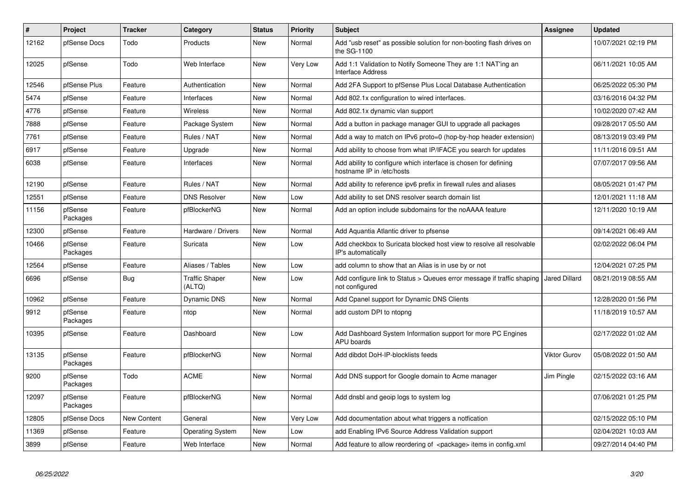| $\vert$ # | <b>Project</b>      | <b>Tracker</b>     | Category                        | <b>Status</b> | Priority | <b>Subject</b>                                                                               | <b>Assignee</b> | <b>Updated</b>      |
|-----------|---------------------|--------------------|---------------------------------|---------------|----------|----------------------------------------------------------------------------------------------|-----------------|---------------------|
| 12162     | pfSense Docs        | Todo               | Products                        | <b>New</b>    | Normal   | Add "usb reset" as possible solution for non-booting flash drives on<br>the SG-1100          |                 | 10/07/2021 02:19 PM |
| 12025     | pfSense             | Todo               | Web Interface                   | New           | Very Low | Add 1:1 Validation to Notify Someone They are 1:1 NAT'ing an<br>Interface Address            |                 | 06/11/2021 10:05 AM |
| 12546     | pfSense Plus        | Feature            | Authentication                  | New           | Normal   | Add 2FA Support to pfSense Plus Local Database Authentication                                |                 | 06/25/2022 05:30 PM |
| 5474      | pfSense             | Feature            | Interfaces                      | New           | Normal   | Add 802.1x configuration to wired interfaces.                                                |                 | 03/16/2016 04:32 PM |
| 4776      | pfSense             | Feature            | Wireless                        | New           | Normal   | Add 802.1x dynamic vlan support                                                              |                 | 10/02/2020 07:42 AM |
| 7888      | pfSense             | Feature            | Package System                  | New           | Normal   | Add a button in package manager GUI to upgrade all packages                                  |                 | 09/28/2017 05:50 AM |
| 7761      | pfSense             | Feature            | Rules / NAT                     | <b>New</b>    | Normal   | Add a way to match on IPv6 proto=0 (hop-by-hop header extension)                             |                 | 08/13/2019 03:49 PM |
| 6917      | pfSense             | Feature            | Upgrade                         | New           | Normal   | Add ability to choose from what IP/IFACE you search for updates                              |                 | 11/11/2016 09:51 AM |
| 6038      | pfSense             | Feature            | Interfaces                      | <b>New</b>    | Normal   | Add ability to configure which interface is chosen for defining<br>hostname IP in /etc/hosts |                 | 07/07/2017 09:56 AM |
| 12190     | pfSense             | Feature            | Rules / NAT                     | <b>New</b>    | Normal   | Add ability to reference ipv6 prefix in firewall rules and aliases                           |                 | 08/05/2021 01:47 PM |
| 12551     | pfSense             | Feature            | <b>DNS Resolver</b>             | <b>New</b>    | Low      | Add ability to set DNS resolver search domain list                                           |                 | 12/01/2021 11:18 AM |
| 11156     | pfSense<br>Packages | Feature            | pfBlockerNG                     | New           | Normal   | Add an option include subdomains for the noAAAA feature                                      |                 | 12/11/2020 10:19 AM |
| 12300     | pfSense             | Feature            | Hardware / Drivers              | New           | Normal   | Add Aquantia Atlantic driver to pfsense                                                      |                 | 09/14/2021 06:49 AM |
| 10466     | pfSense<br>Packages | Feature            | Suricata                        | <b>New</b>    | Low      | Add checkbox to Suricata blocked host view to resolve all resolvable<br>IP's automatically   |                 | 02/02/2022 06:04 PM |
| 12564     | pfSense             | Feature            | Aliases / Tables                | New           | Low      | add column to show that an Alias is in use by or not                                         |                 | 12/04/2021 07:25 PM |
| 6696      | pfSense             | Bug                | <b>Traffic Shaper</b><br>(ALTQ) | New           | Low      | Add configure link to Status > Queues error message if traffic shaping<br>not configured     | Jared Dillard   | 08/21/2019 08:55 AM |
| 10962     | pfSense             | Feature            | Dynamic DNS                     | New           | Normal   | Add Cpanel support for Dynamic DNS Clients                                                   |                 | 12/28/2020 01:56 PM |
| 9912      | pfSense<br>Packages | Feature            | ntop                            | New           | Normal   | add custom DPI to ntopng                                                                     |                 | 11/18/2019 10:57 AM |
| 10395     | pfSense             | Feature            | Dashboard                       | New           | Low      | Add Dashboard System Information support for more PC Engines<br>APU boards                   |                 | 02/17/2022 01:02 AM |
| 13135     | pfSense<br>Packages | Feature            | pfBlockerNG                     | <b>New</b>    | Normal   | Add dibdot DoH-IP-blocklists feeds                                                           | Viktor Gurov    | 05/08/2022 01:50 AM |
| 9200      | pfSense<br>Packages | Todo               | <b>ACME</b>                     | New           | Normal   | Add DNS support for Google domain to Acme manager                                            | Jim Pingle      | 02/15/2022 03:16 AM |
| 12097     | pfSense<br>Packages | Feature            | pfBlockerNG                     | <b>New</b>    | Normal   | Add dnsbl and geoip logs to system log                                                       |                 | 07/06/2021 01:25 PM |
| 12805     | pfSense Docs        | <b>New Content</b> | General                         | <b>New</b>    | Very Low | Add documentation about what triggers a notfication                                          |                 | 02/15/2022 05:10 PM |
| 11369     | pfSense             | Feature            | <b>Operating System</b>         | New           | Low      | add Enabling IPv6 Source Address Validation support                                          |                 | 02/04/2021 10:03 AM |
| 3899      | pfSense             | Feature            | Web Interface                   | <b>New</b>    | Normal   | Add feature to allow reordering of <package> items in config.xml</package>                   |                 | 09/27/2014 04:40 PM |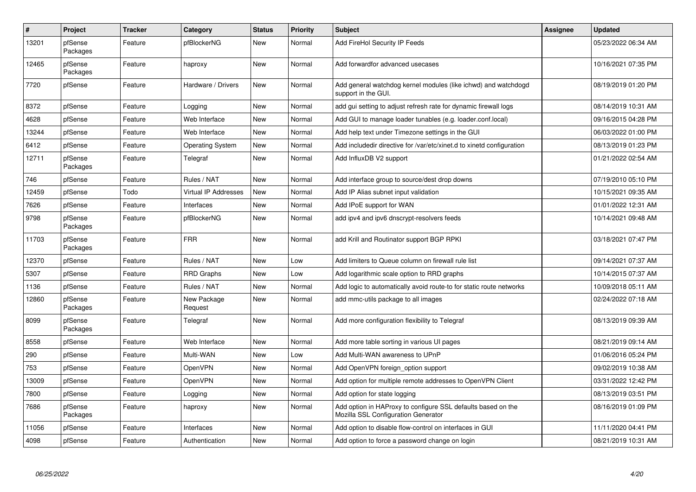| $\pmb{\#}$ | <b>Project</b>      | <b>Tracker</b> | Category                    | <b>Status</b> | <b>Priority</b> | <b>Subject</b>                                                                                      | Assignee | <b>Updated</b>      |
|------------|---------------------|----------------|-----------------------------|---------------|-----------------|-----------------------------------------------------------------------------------------------------|----------|---------------------|
| 13201      | pfSense<br>Packages | Feature        | pfBlockerNG                 | <b>New</b>    | Normal          | Add FireHol Security IP Feeds                                                                       |          | 05/23/2022 06:34 AM |
| 12465      | pfSense<br>Packages | Feature        | haproxy                     | <b>New</b>    | Normal          | Add forwardfor advanced usecases                                                                    |          | 10/16/2021 07:35 PM |
| 7720       | pfSense             | Feature        | Hardware / Drivers          | <b>New</b>    | Normal          | Add general watchdog kernel modules (like ichwd) and watchdogd<br>support in the GUI.               |          | 08/19/2019 01:20 PM |
| 8372       | pfSense             | Feature        | Logging                     | <b>New</b>    | Normal          | add gui setting to adjust refresh rate for dynamic firewall logs                                    |          | 08/14/2019 10:31 AM |
| 4628       | pfSense             | Feature        | Web Interface               | New           | Normal          | Add GUI to manage loader tunables (e.g. loader.conf.local)                                          |          | 09/16/2015 04:28 PM |
| 13244      | pfSense             | Feature        | Web Interface               | New           | Normal          | Add help text under Timezone settings in the GUI                                                    |          | 06/03/2022 01:00 PM |
| 6412       | pfSense             | Feature        | <b>Operating System</b>     | <b>New</b>    | Normal          | Add includedir directive for /var/etc/xinet.d to xinetd configuration                               |          | 08/13/2019 01:23 PM |
| 12711      | pfSense<br>Packages | Feature        | Telegraf                    | New           | Normal          | Add InfluxDB V2 support                                                                             |          | 01/21/2022 02:54 AM |
| 746        | pfSense             | Feature        | Rules / NAT                 | <b>New</b>    | Normal          | Add interface group to source/dest drop downs                                                       |          | 07/19/2010 05:10 PM |
| 12459      | pfSense             | Todo           | <b>Virtual IP Addresses</b> | <b>New</b>    | Normal          | Add IP Alias subnet input validation                                                                |          | 10/15/2021 09:35 AM |
| 7626       | pfSense             | Feature        | Interfaces                  | <b>New</b>    | Normal          | Add IPoE support for WAN                                                                            |          | 01/01/2022 12:31 AM |
| 9798       | pfSense<br>Packages | Feature        | pfBlockerNG                 | <b>New</b>    | Normal          | add ipv4 and ipv6 dnscrypt-resolvers feeds                                                          |          | 10/14/2021 09:48 AM |
| 11703      | pfSense<br>Packages | Feature        | <b>FRR</b>                  | <b>New</b>    | Normal          | add Krill and Routinator support BGP RPKI                                                           |          | 03/18/2021 07:47 PM |
| 12370      | pfSense             | Feature        | Rules / NAT                 | <b>New</b>    | Low             | Add limiters to Queue column on firewall rule list                                                  |          | 09/14/2021 07:37 AM |
| 5307       | pfSense             | Feature        | <b>RRD Graphs</b>           | <b>New</b>    | Low             | Add logarithmic scale option to RRD graphs                                                          |          | 10/14/2015 07:37 AM |
| 1136       | pfSense             | Feature        | Rules / NAT                 | <b>New</b>    | Normal          | Add logic to automatically avoid route-to for static route networks                                 |          | 10/09/2018 05:11 AM |
| 12860      | pfSense<br>Packages | Feature        | New Package<br>Request      | New           | Normal          | add mmc-utils package to all images                                                                 |          | 02/24/2022 07:18 AM |
| 8099       | pfSense<br>Packages | Feature        | Telegraf                    | <b>New</b>    | Normal          | Add more configuration flexibility to Telegraf                                                      |          | 08/13/2019 09:39 AM |
| 8558       | pfSense             | Feature        | Web Interface               | <b>New</b>    | Normal          | Add more table sorting in various UI pages                                                          |          | 08/21/2019 09:14 AM |
| 290        | pfSense             | Feature        | Multi-WAN                   | <b>New</b>    | Low             | Add Multi-WAN awareness to UPnP                                                                     |          | 01/06/2016 05:24 PM |
| 753        | pfSense             | Feature        | OpenVPN                     | <b>New</b>    | Normal          | Add OpenVPN foreign_option support                                                                  |          | 09/02/2019 10:38 AM |
| 13009      | pfSense             | Feature        | OpenVPN                     | <b>New</b>    | Normal          | Add option for multiple remote addresses to OpenVPN Client                                          |          | 03/31/2022 12:42 PM |
| 7800       | pfSense             | Feature        | Logging                     | New           | Normal          | Add option for state logging                                                                        |          | 08/13/2019 03:51 PM |
| 7686       | pfSense<br>Packages | Feature        | haproxy                     | <b>New</b>    | Normal          | Add option in HAProxy to configure SSL defaults based on the<br>Mozilla SSL Configuration Generator |          | 08/16/2019 01:09 PM |
| 11056      | pfSense             | Feature        | Interfaces                  | New           | Normal          | Add option to disable flow-control on interfaces in GUI                                             |          | 11/11/2020 04:41 PM |
| 4098       | pfSense             | Feature        | Authentication              | <b>New</b>    | Normal          | Add option to force a password change on login                                                      |          | 08/21/2019 10:31 AM |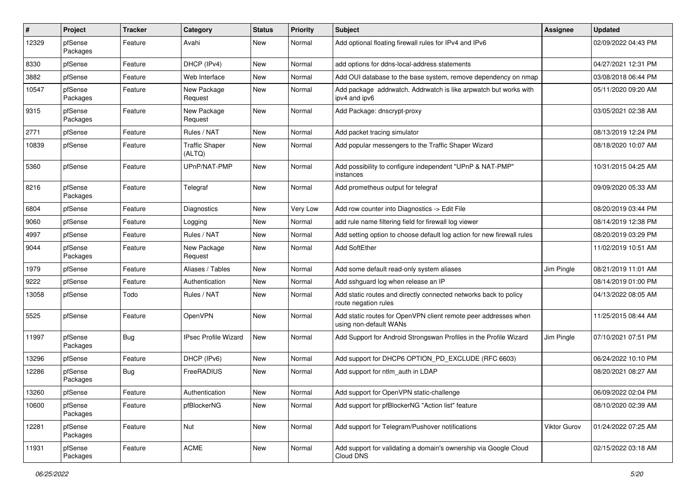| #     | Project             | <b>Tracker</b> | Category                        | <b>Status</b> | <b>Priority</b> | <b>Subject</b>                                                                            | <b>Assignee</b> | <b>Updated</b>      |
|-------|---------------------|----------------|---------------------------------|---------------|-----------------|-------------------------------------------------------------------------------------------|-----------------|---------------------|
| 12329 | pfSense<br>Packages | Feature        | Avahi                           | <b>New</b>    | Normal          | Add optional floating firewall rules for IPv4 and IPv6                                    |                 | 02/09/2022 04:43 PM |
| 8330  | pfSense             | Feature        | DHCP (IPv4)                     | <b>New</b>    | Normal          | add options for ddns-local-address statements                                             |                 | 04/27/2021 12:31 PM |
| 3882  | pfSense             | Feature        | Web Interface                   | <b>New</b>    | Normal          | Add OUI database to the base system, remove dependency on nmap                            |                 | 03/08/2018 06:44 PM |
| 10547 | pfSense<br>Packages | Feature        | New Package<br>Request          | <b>New</b>    | Normal          | Add package addrwatch. Addrwatch is like arpwatch but works with<br>ipv4 and ipv6         |                 | 05/11/2020 09:20 AM |
| 9315  | pfSense<br>Packages | Feature        | New Package<br>Request          | New           | Normal          | Add Package: dnscrypt-proxy                                                               |                 | 03/05/2021 02:38 AM |
| 2771  | pfSense             | Feature        | Rules / NAT                     | <b>New</b>    | Normal          | Add packet tracing simulator                                                              |                 | 08/13/2019 12:24 PM |
| 10839 | pfSense             | Feature        | <b>Traffic Shaper</b><br>(ALTQ) | <b>New</b>    | Normal          | Add popular messengers to the Traffic Shaper Wizard                                       |                 | 08/18/2020 10:07 AM |
| 5360  | pfSense             | Feature        | UPnP/NAT-PMP                    | <b>New</b>    | Normal          | Add possibility to configure independent "UPnP & NAT-PMP"<br>instances                    |                 | 10/31/2015 04:25 AM |
| 8216  | pfSense<br>Packages | Feature        | Telegraf                        | <b>New</b>    | Normal          | Add prometheus output for telegraf                                                        |                 | 09/09/2020 05:33 AM |
| 6804  | pfSense             | Feature        | <b>Diagnostics</b>              | <b>New</b>    | Very Low        | Add row counter into Diagnostics -> Edit File                                             |                 | 08/20/2019 03:44 PM |
| 9060  | pfSense             | Feature        | Logging                         | <b>New</b>    | Normal          | add rule name filtering field for firewall log viewer                                     |                 | 08/14/2019 12:38 PM |
| 4997  | pfSense             | Feature        | Rules / NAT                     | <b>New</b>    | Normal          | Add setting option to choose default log action for new firewall rules                    |                 | 08/20/2019 03:29 PM |
| 9044  | pfSense<br>Packages | Feature        | New Package<br>Request          | New           | Normal          | <b>Add SoftEther</b>                                                                      |                 | 11/02/2019 10:51 AM |
| 1979  | pfSense             | Feature        | Aliases / Tables                | <b>New</b>    | Normal          | Add some default read-only system aliases                                                 | Jim Pingle      | 08/21/2019 11:01 AM |
| 9222  | pfSense             | Feature        | Authentication                  | <b>New</b>    | Normal          | Add sshguard log when release an IP                                                       |                 | 08/14/2019 01:00 PM |
| 13058 | pfSense             | Todo           | Rules / NAT                     | New           | Normal          | Add static routes and directly connected networks back to policy<br>route negation rules  |                 | 04/13/2022 08:05 AM |
| 5525  | pfSense             | Feature        | OpenVPN                         | <b>New</b>    | Normal          | Add static routes for OpenVPN client remote peer addresses when<br>using non-default WANs |                 | 11/25/2015 08:44 AM |
| 11997 | pfSense<br>Packages | <b>Bug</b>     | <b>IPsec Profile Wizard</b>     | New           | Normal          | Add Support for Android Strongswan Profiles in the Profile Wizard                         | Jim Pingle      | 07/10/2021 07:51 PM |
| 13296 | pfSense             | Feature        | DHCP (IPv6)                     | <b>New</b>    | Normal          | Add support for DHCP6 OPTION_PD_EXCLUDE (RFC 6603)                                        |                 | 06/24/2022 10:10 PM |
| 12286 | pfSense<br>Packages | <b>Bug</b>     | FreeRADIUS                      | New           | Normal          | Add support for ntlm auth in LDAP                                                         |                 | 08/20/2021 08:27 AM |
| 13260 | pfSense             | Feature        | Authentication                  | New           | Normal          | Add support for OpenVPN static-challenge                                                  |                 | 06/09/2022 02:04 PM |
| 10600 | pfSense<br>Packages | Feature        | pfBlockerNG                     | New           | Normal          | Add support for pfBlockerNG "Action list" feature                                         |                 | 08/10/2020 02:39 AM |
| 12281 | pfSense<br>Packages | Feature        | Nut                             | New           | Normal          | Add support for Telegram/Pushover notifications                                           | Viktor Gurov    | 01/24/2022 07:25 AM |
| 11931 | pfSense<br>Packages | Feature        | ACME                            | New           | Normal          | Add support for validating a domain's ownership via Google Cloud<br>Cloud DNS             |                 | 02/15/2022 03:18 AM |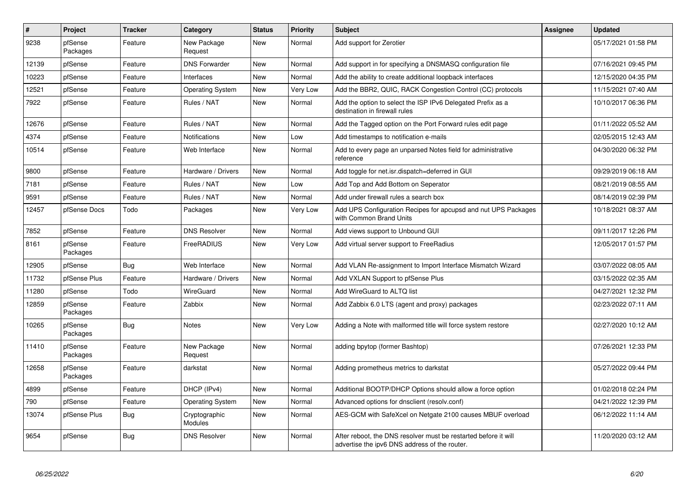| $\vert$ # | Project             | <b>Tracker</b> | Category                 | <b>Status</b> | <b>Priority</b> | <b>Subject</b>                                                                                                   | Assignee | <b>Updated</b>      |
|-----------|---------------------|----------------|--------------------------|---------------|-----------------|------------------------------------------------------------------------------------------------------------------|----------|---------------------|
| 9238      | pfSense<br>Packages | Feature        | New Package<br>Request   | <b>New</b>    | Normal          | Add support for Zerotier                                                                                         |          | 05/17/2021 01:58 PM |
| 12139     | pfSense             | Feature        | <b>DNS Forwarder</b>     | <b>New</b>    | Normal          | Add support in for specifying a DNSMASQ configuration file                                                       |          | 07/16/2021 09:45 PM |
| 10223     | pfSense             | Feature        | Interfaces               | <b>New</b>    | Normal          | Add the ability to create additional loopback interfaces                                                         |          | 12/15/2020 04:35 PM |
| 12521     | pfSense             | Feature        | <b>Operating System</b>  | <b>New</b>    | Very Low        | Add the BBR2, QUIC, RACK Congestion Control (CC) protocols                                                       |          | 11/15/2021 07:40 AM |
| 7922      | pfSense             | Feature        | Rules / NAT              | <b>New</b>    | Normal          | Add the option to select the ISP IPv6 Delegated Prefix as a<br>destination in firewall rules                     |          | 10/10/2017 06:36 PM |
| 12676     | pfSense             | Feature        | Rules / NAT              | <b>New</b>    | Normal          | Add the Tagged option on the Port Forward rules edit page                                                        |          | 01/11/2022 05:52 AM |
| 4374      | pfSense             | Feature        | <b>Notifications</b>     | <b>New</b>    | Low             | Add timestamps to notification e-mails                                                                           |          | 02/05/2015 12:43 AM |
| 10514     | pfSense             | Feature        | Web Interface            | <b>New</b>    | Normal          | Add to every page an unparsed Notes field for administrative<br>reference                                        |          | 04/30/2020 06:32 PM |
| 9800      | pfSense             | Feature        | Hardware / Drivers       | New           | Normal          | Add toggle for net.isr.dispatch=deferred in GUI                                                                  |          | 09/29/2019 06:18 AM |
| 7181      | pfSense             | Feature        | Rules / NAT              | <b>New</b>    | Low             | Add Top and Add Bottom on Seperator                                                                              |          | 08/21/2019 08:55 AM |
| 9591      | pfSense             | Feature        | Rules / NAT              | <b>New</b>    | Normal          | Add under firewall rules a search box                                                                            |          | 08/14/2019 02:39 PM |
| 12457     | pfSense Docs        | Todo           | Packages                 | <b>New</b>    | Very Low        | Add UPS Configuration Recipes for apcupsd and nut UPS Packages<br>with Common Brand Units                        |          | 10/18/2021 08:37 AM |
| 7852      | pfSense             | Feature        | <b>DNS Resolver</b>      | <b>New</b>    | Normal          | Add views support to Unbound GUI                                                                                 |          | 09/11/2017 12:26 PM |
| 8161      | pfSense<br>Packages | Feature        | FreeRADIUS               | <b>New</b>    | Very Low        | Add virtual server support to FreeRadius                                                                         |          | 12/05/2017 01:57 PM |
| 12905     | pfSense             | Bug            | Web Interface            | New           | Normal          | Add VLAN Re-assignment to Import Interface Mismatch Wizard                                                       |          | 03/07/2022 08:05 AM |
| 11732     | pfSense Plus        | Feature        | Hardware / Drivers       | <b>New</b>    | Normal          | Add VXLAN Support to pfSense Plus                                                                                |          | 03/15/2022 02:35 AM |
| 11280     | pfSense             | Todo           | WireGuard                | New           | Normal          | Add WireGuard to ALTQ list                                                                                       |          | 04/27/2021 12:32 PM |
| 12859     | pfSense<br>Packages | Feature        | Zabbix                   | <b>New</b>    | Normal          | Add Zabbix 6.0 LTS (agent and proxy) packages                                                                    |          | 02/23/2022 07:11 AM |
| 10265     | pfSense<br>Packages | <b>Bug</b>     | <b>Notes</b>             | <b>New</b>    | Very Low        | Adding a Note with malformed title will force system restore                                                     |          | 02/27/2020 10:12 AM |
| 11410     | pfSense<br>Packages | Feature        | New Package<br>Request   | <b>New</b>    | Normal          | adding bpytop (former Bashtop)                                                                                   |          | 07/26/2021 12:33 PM |
| 12658     | pfSense<br>Packages | Feature        | darkstat                 | <b>New</b>    | Normal          | Adding prometheus metrics to darkstat                                                                            |          | 05/27/2022 09:44 PM |
| 4899      | pfSense             | Feature        | DHCP (IPv4)              | <b>New</b>    | Normal          | Additional BOOTP/DHCP Options should allow a force option                                                        |          | 01/02/2018 02:24 PM |
| 790       | pfSense             | Feature        | <b>Operating System</b>  | <b>New</b>    | Normal          | Advanced options for dnsclient (resolv.conf)                                                                     |          | 04/21/2022 12:39 PM |
| 13074     | pfSense Plus        | Bug            | Cryptographic<br>Modules | <b>New</b>    | Normal          | AES-GCM with SafeXcel on Netgate 2100 causes MBUF overload                                                       |          | 06/12/2022 11:14 AM |
| 9654      | pfSense             | Bug            | <b>DNS Resolver</b>      | New           | Normal          | After reboot, the DNS resolver must be restarted before it will<br>advertise the ipv6 DNS address of the router. |          | 11/20/2020 03:12 AM |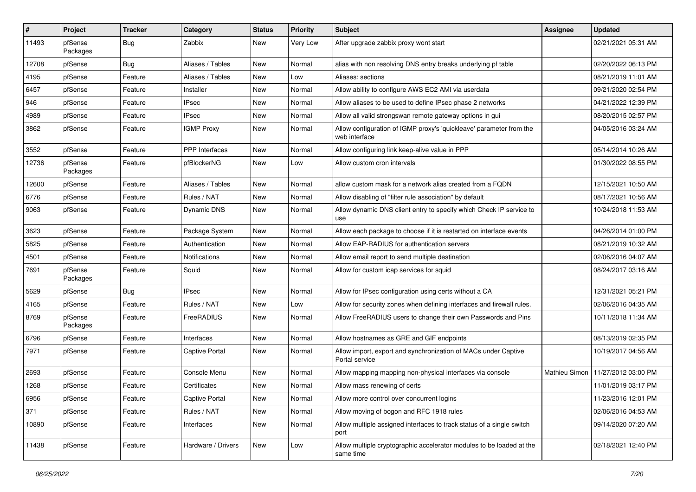| $\vert$ # | Project             | <b>Tracker</b> | Category              | <b>Status</b> | <b>Priority</b> | <b>Subject</b>                                                                       | Assignee      | <b>Updated</b>      |
|-----------|---------------------|----------------|-----------------------|---------------|-----------------|--------------------------------------------------------------------------------------|---------------|---------------------|
| 11493     | pfSense<br>Packages | <b>Bug</b>     | Zabbix                | New           | Very Low        | After upgrade zabbix proxy wont start                                                |               | 02/21/2021 05:31 AM |
| 12708     | pfSense             | Bug            | Aliases / Tables      | New           | Normal          | alias with non resolving DNS entry breaks underlying pf table                        |               | 02/20/2022 06:13 PM |
| 4195      | pfSense             | Feature        | Aliases / Tables      | <b>New</b>    | Low             | Aliases: sections                                                                    |               | 08/21/2019 11:01 AM |
| 6457      | pfSense             | Feature        | Installer             | <b>New</b>    | Normal          | Allow ability to configure AWS EC2 AMI via userdata                                  |               | 09/21/2020 02:54 PM |
| 946       | pfSense             | Feature        | <b>IPsec</b>          | <b>New</b>    | Normal          | Allow aliases to be used to define IPsec phase 2 networks                            |               | 04/21/2022 12:39 PM |
| 4989      | pfSense             | Feature        | <b>IPsec</b>          | <b>New</b>    | Normal          | Allow all valid strongswan remote gateway options in gui                             |               | 08/20/2015 02:57 PM |
| 3862      | pfSense             | Feature        | <b>IGMP Proxy</b>     | <b>New</b>    | Normal          | Allow configuration of IGMP proxy's 'quickleave' parameter from the<br>web interface |               | 04/05/2016 03:24 AM |
| 3552      | pfSense             | Feature        | <b>PPP</b> Interfaces | <b>New</b>    | Normal          | Allow configuring link keep-alive value in PPP                                       |               | 05/14/2014 10:26 AM |
| 12736     | pfSense<br>Packages | Feature        | pfBlockerNG           | New           | Low             | Allow custom cron intervals                                                          |               | 01/30/2022 08:55 PM |
| 12600     | pfSense             | Feature        | Aliases / Tables      | <b>New</b>    | Normal          | allow custom mask for a network alias created from a FQDN                            |               | 12/15/2021 10:50 AM |
| 6776      | pfSense             | Feature        | Rules / NAT           | <b>New</b>    | Normal          | Allow disabling of "filter rule association" by default                              |               | 08/17/2021 10:56 AM |
| 9063      | pfSense             | Feature        | Dynamic DNS           | New           | Normal          | Allow dynamic DNS client entry to specify which Check IP service to<br>use           |               | 10/24/2018 11:53 AM |
| 3623      | pfSense             | Feature        | Package System        | <b>New</b>    | Normal          | Allow each package to choose if it is restarted on interface events                  |               | 04/26/2014 01:00 PM |
| 5825      | pfSense             | Feature        | Authentication        | <b>New</b>    | Normal          | Allow EAP-RADIUS for authentication servers                                          |               | 08/21/2019 10:32 AM |
| 4501      | pfSense             | Feature        | <b>Notifications</b>  | <b>New</b>    | Normal          | Allow email report to send multiple destination                                      |               | 02/06/2016 04:07 AM |
| 7691      | pfSense<br>Packages | Feature        | Squid                 | <b>New</b>    | Normal          | Allow for custom icap services for squid                                             |               | 08/24/2017 03:16 AM |
| 5629      | pfSense             | <b>Bug</b>     | <b>IPsec</b>          | New           | Normal          | Allow for IPsec configuration using certs without a CA                               |               | 12/31/2021 05:21 PM |
| 4165      | pfSense             | Feature        | Rules / NAT           | <b>New</b>    | Low             | Allow for security zones when defining interfaces and firewall rules.                |               | 02/06/2016 04:35 AM |
| 8769      | pfSense<br>Packages | Feature        | FreeRADIUS            | <b>New</b>    | Normal          | Allow FreeRADIUS users to change their own Passwords and Pins                        |               | 10/11/2018 11:34 AM |
| 6796      | pfSense             | Feature        | Interfaces            | <b>New</b>    | Normal          | Allow hostnames as GRE and GIF endpoints                                             |               | 08/13/2019 02:35 PM |
| 7971      | pfSense             | Feature        | Captive Portal        | New           | Normal          | Allow import, export and synchronization of MACs under Captive<br>Portal service     |               | 10/19/2017 04:56 AM |
| 2693      | pfSense             | Feature        | Console Menu          | <b>New</b>    | Normal          | Allow mapping mapping non-physical interfaces via console                            | Mathieu Simon | 11/27/2012 03:00 PM |
| 1268      | pfSense             | Feature        | Certificates          | <b>New</b>    | Normal          | Allow mass renewing of certs                                                         |               | 11/01/2019 03:17 PM |
| 6956      | pfSense             | Feature        | <b>Captive Portal</b> | New           | Normal          | Allow more control over concurrent logins                                            |               | 11/23/2016 12:01 PM |
| 371       | pfSense             | Feature        | Rules / NAT           | <b>New</b>    | Normal          | Allow moving of bogon and RFC 1918 rules                                             |               | 02/06/2016 04:53 AM |
| 10890     | pfSense             | Feature        | Interfaces            | New           | Normal          | Allow multiple assigned interfaces to track status of a single switch<br>port        |               | 09/14/2020 07:20 AM |
| 11438     | pfSense             | Feature        | Hardware / Drivers    | New           | Low             | Allow multiple cryptographic accelerator modules to be loaded at the<br>same time    |               | 02/18/2021 12:40 PM |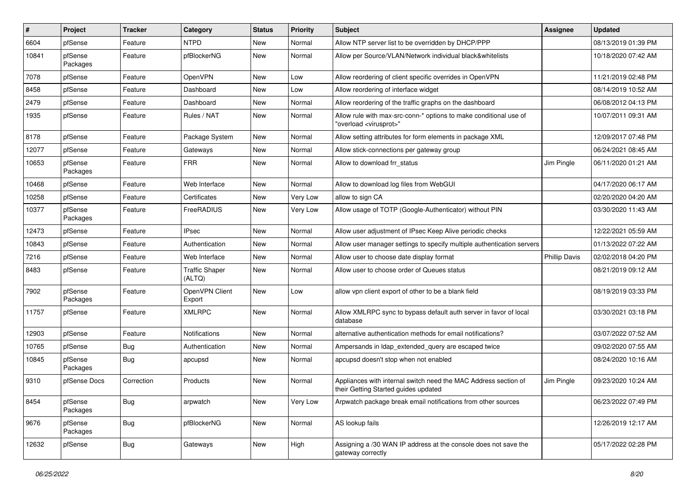| #     | Project             | <b>Tracker</b> | Category                        | <b>Status</b> | <b>Priority</b> | <b>Subject</b>                                                                                          | Assignee             | <b>Updated</b>      |
|-------|---------------------|----------------|---------------------------------|---------------|-----------------|---------------------------------------------------------------------------------------------------------|----------------------|---------------------|
| 6604  | pfSense             | Feature        | <b>NTPD</b>                     | <b>New</b>    | Normal          | Allow NTP server list to be overridden by DHCP/PPP                                                      |                      | 08/13/2019 01:39 PM |
| 10841 | pfSense<br>Packages | Feature        | pfBlockerNG                     | <b>New</b>    | Normal          | Allow per Source/VLAN/Network individual black&whitelists                                               |                      | 10/18/2020 07:42 AM |
| 7078  | pfSense             | Feature        | OpenVPN                         | <b>New</b>    | Low             | Allow reordering of client specific overrides in OpenVPN                                                |                      | 11/21/2019 02:48 PM |
| 8458  | pfSense             | Feature        | Dashboard                       | <b>New</b>    | Low             | Allow reordering of interface widget                                                                    |                      | 08/14/2019 10:52 AM |
| 2479  | pfSense             | Feature        | Dashboard                       | <b>New</b>    | Normal          | Allow reordering of the traffic graphs on the dashboard                                                 |                      | 06/08/2012 04:13 PM |
| 1935  | pfSense             | Feature        | Rules / NAT                     | New           | Normal          | Allow rule with max-src-conn-* options to make conditional use of<br>"overload <virusprot>"</virusprot> |                      | 10/07/2011 09:31 AM |
| 8178  | pfSense             | Feature        | Package System                  | <b>New</b>    | Normal          | Allow setting attributes for form elements in package XML                                               |                      | 12/09/2017 07:48 PM |
| 12077 | pfSense             | Feature        | Gateways                        | <b>New</b>    | Normal          | Allow stick-connections per gateway group                                                               |                      | 06/24/2021 08:45 AM |
| 10653 | pfSense<br>Packages | Feature        | <b>FRR</b>                      | New           | Normal          | Allow to download frr status                                                                            | Jim Pingle           | 06/11/2020 01:21 AM |
| 10468 | pfSense             | Feature        | Web Interface                   | <b>New</b>    | Normal          | Allow to download log files from WebGUI                                                                 |                      | 04/17/2020 06:17 AM |
| 10258 | pfSense             | Feature        | Certificates                    | <b>New</b>    | Very Low        | allow to sign CA                                                                                        |                      | 02/20/2020 04:20 AM |
| 10377 | pfSense<br>Packages | Feature        | FreeRADIUS                      | New           | Very Low        | Allow usage of TOTP (Google-Authenticator) without PIN                                                  |                      | 03/30/2020 11:43 AM |
| 12473 | pfSense             | Feature        | <b>IPsec</b>                    | <b>New</b>    | Normal          | Allow user adjustment of IPsec Keep Alive periodic checks                                               |                      | 12/22/2021 05:59 AM |
| 10843 | pfSense             | Feature        | Authentication                  | <b>New</b>    | Normal          | Allow user manager settings to specify multiple authentication servers                                  |                      | 01/13/2022 07:22 AM |
| 7216  | pfSense             | Feature        | Web Interface                   | <b>New</b>    | Normal          | Allow user to choose date display format                                                                | <b>Phillip Davis</b> | 02/02/2018 04:20 PM |
| 8483  | pfSense             | Feature        | <b>Traffic Shaper</b><br>(ALTQ) | New           | Normal          | Allow user to choose order of Queues status                                                             |                      | 08/21/2019 09:12 AM |
| 7902  | pfSense<br>Packages | Feature        | OpenVPN Client<br>Export        | <b>New</b>    | Low             | allow vpn client export of other to be a blank field                                                    |                      | 08/19/2019 03:33 PM |
| 11757 | pfSense             | Feature        | <b>XMLRPC</b>                   | <b>New</b>    | Normal          | Allow XMLRPC sync to bypass default auth server in favor of local<br>database                           |                      | 03/30/2021 03:18 PM |
| 12903 | pfSense             | Feature        | Notifications                   | <b>New</b>    | Normal          | alternative authentication methods for email notifications?                                             |                      | 03/07/2022 07:52 AM |
| 10765 | pfSense             | <b>Bug</b>     | Authentication                  | <b>New</b>    | Normal          | Ampersands in Idap extended query are escaped twice                                                     |                      | 09/02/2020 07:55 AM |
| 10845 | pfSense<br>Packages | <b>Bug</b>     | apcupsd                         | New           | Normal          | apcupsd doesn't stop when not enabled                                                                   |                      | 08/24/2020 10:16 AM |
| 9310  | pfSense Docs        | Correction     | Products                        | <b>New</b>    | Normal          | Appliances with internal switch need the MAC Address section of<br>their Getting Started guides updated | Jim Pingle           | 09/23/2020 10:24 AM |
| 8454  | pfSense<br>Packages | Bug            | arpwatch                        | New           | Very Low        | Arpwatch package break email notifications from other sources                                           |                      | 06/23/2022 07:49 PM |
| 9676  | pfSense<br>Packages | <b>Bug</b>     | pfBlockerNG                     | New           | Normal          | AS lookup fails                                                                                         |                      | 12/26/2019 12:17 AM |
| 12632 | pfSense             | Bug            | Gateways                        | New           | High            | Assigning a /30 WAN IP address at the console does not save the<br>gateway correctly                    |                      | 05/17/2022 02:28 PM |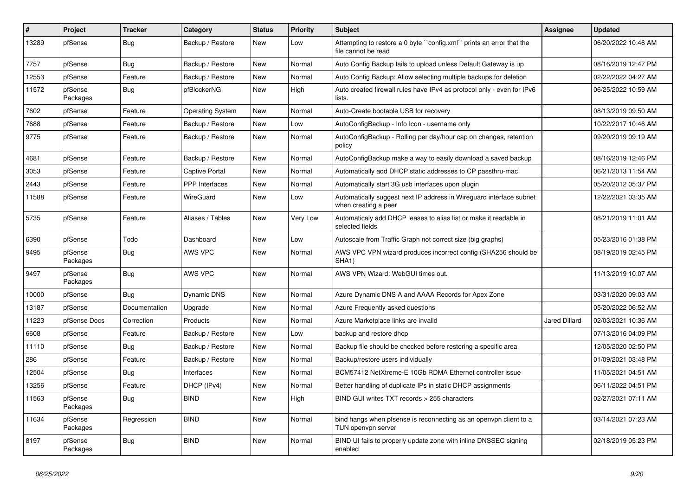| $\vert$ # | Project             | <b>Tracker</b> | Category                | <b>Status</b> | <b>Priority</b> | <b>Subject</b>                                                                              | Assignee             | <b>Updated</b>      |
|-----------|---------------------|----------------|-------------------------|---------------|-----------------|---------------------------------------------------------------------------------------------|----------------------|---------------------|
| 13289     | pfSense             | Bug            | Backup / Restore        | <b>New</b>    | Low             | Attempting to restore a 0 byte "config.xml" prints an error that the<br>file cannot be read |                      | 06/20/2022 10:46 AM |
| 7757      | pfSense             | Bug            | Backup / Restore        | <b>New</b>    | Normal          | Auto Config Backup fails to upload unless Default Gateway is up                             |                      | 08/16/2019 12:47 PM |
| 12553     | pfSense             | Feature        | Backup / Restore        | New           | Normal          | Auto Config Backup: Allow selecting multiple backups for deletion                           |                      | 02/22/2022 04:27 AM |
| 11572     | pfSense<br>Packages | Bug            | pfBlockerNG             | New           | High            | Auto created firewall rules have IPv4 as protocol only - even for IPv6<br>lists.            |                      | 06/25/2022 10:59 AM |
| 7602      | pfSense             | Feature        | <b>Operating System</b> | <b>New</b>    | Normal          | Auto-Create bootable USB for recovery                                                       |                      | 08/13/2019 09:50 AM |
| 7688      | pfSense             | Feature        | Backup / Restore        | <b>New</b>    | Low             | AutoConfigBackup - Info Icon - username only                                                |                      | 10/22/2017 10:46 AM |
| 9775      | pfSense             | Feature        | Backup / Restore        | <b>New</b>    | Normal          | AutoConfigBackup - Rolling per day/hour cap on changes, retention<br>policy                 |                      | 09/20/2019 09:19 AM |
| 4681      | pfSense             | Feature        | Backup / Restore        | <b>New</b>    | Normal          | AutoConfigBackup make a way to easily download a saved backup                               |                      | 08/16/2019 12:46 PM |
| 3053      | pfSense             | Feature        | Captive Portal          | <b>New</b>    | Normal          | Automatically add DHCP static addresses to CP passthru-mac                                  |                      | 06/21/2013 11:54 AM |
| 2443      | pfSense             | Feature        | <b>PPP</b> Interfaces   | <b>New</b>    | Normal          | Automatically start 3G usb interfaces upon plugin                                           |                      | 05/20/2012 05:37 PM |
| 11588     | pfSense             | Feature        | WireGuard               | <b>New</b>    | Low             | Automatically suggest next IP address in Wireguard interface subnet<br>when creating a peer |                      | 12/22/2021 03:35 AM |
| 5735      | pfSense             | Feature        | Aliases / Tables        | <b>New</b>    | Very Low        | Automaticaly add DHCP leases to alias list or make it readable in<br>selected fields        |                      | 08/21/2019 11:01 AM |
| 6390      | pfSense             | Todo           | Dashboard               | <b>New</b>    | Low             | Autoscale from Traffic Graph not correct size (big graphs)                                  |                      | 05/23/2016 01:38 PM |
| 9495      | pfSense<br>Packages | <b>Bug</b>     | AWS VPC                 | <b>New</b>    | Normal          | AWS VPC VPN wizard produces incorrect config (SHA256 should be<br>SHA <sub>1</sub> )        |                      | 08/19/2019 02:45 PM |
| 9497      | pfSense<br>Packages | Bug            | <b>AWS VPC</b>          | <b>New</b>    | Normal          | AWS VPN Wizard: WebGUI times out.                                                           |                      | 11/13/2019 10:07 AM |
| 10000     | pfSense             | Bug            | Dynamic DNS             | <b>New</b>    | Normal          | Azure Dynamic DNS A and AAAA Records for Apex Zone                                          |                      | 03/31/2020 09:03 AM |
| 13187     | pfSense             | Documentation  | Upgrade                 | <b>New</b>    | Normal          | Azure Frequently asked questions                                                            |                      | 05/20/2022 06:52 AM |
| 11223     | pfSense Docs        | Correction     | Products                | <b>New</b>    | Normal          | Azure Marketplace links are invalid                                                         | <b>Jared Dillard</b> | 02/03/2021 10:36 AM |
| 6608      | pfSense             | Feature        | Backup / Restore        | <b>New</b>    | Low             | backup and restore dhcp                                                                     |                      | 07/13/2016 04:09 PM |
| 11110     | pfSense             | Bug            | Backup / Restore        | New           | Normal          | Backup file should be checked before restoring a specific area                              |                      | 12/05/2020 02:50 PM |
| 286       | pfSense             | Feature        | Backup / Restore        | <b>New</b>    | Normal          | Backup/restore users individually                                                           |                      | 01/09/2021 03:48 PM |
| 12504     | pfSense             | Bug            | Interfaces              | <b>New</b>    | Normal          | BCM57412 NetXtreme-E 10Gb RDMA Ethernet controller issue                                    |                      | 11/05/2021 04:51 AM |
| 13256     | pfSense             | Feature        | DHCP (IPv4)             | <b>New</b>    | Normal          | Better handling of duplicate IPs in static DHCP assignments                                 |                      | 06/11/2022 04:51 PM |
| 11563     | pfSense<br>Packages | Bug            | <b>BIND</b>             | New           | High            | BIND GUI writes TXT records > 255 characters                                                |                      | 02/27/2021 07:11 AM |
| 11634     | pfSense<br>Packages | Regression     | <b>BIND</b>             | New           | Normal          | bind hangs when pfsense is reconnecting as an openypn client to a<br>TUN openvpn server     |                      | 03/14/2021 07:23 AM |
| 8197      | pfSense<br>Packages | Bug            | <b>BIND</b>             | <b>New</b>    | Normal          | BIND UI fails to properly update zone with inline DNSSEC signing<br>enabled                 |                      | 02/18/2019 05:23 PM |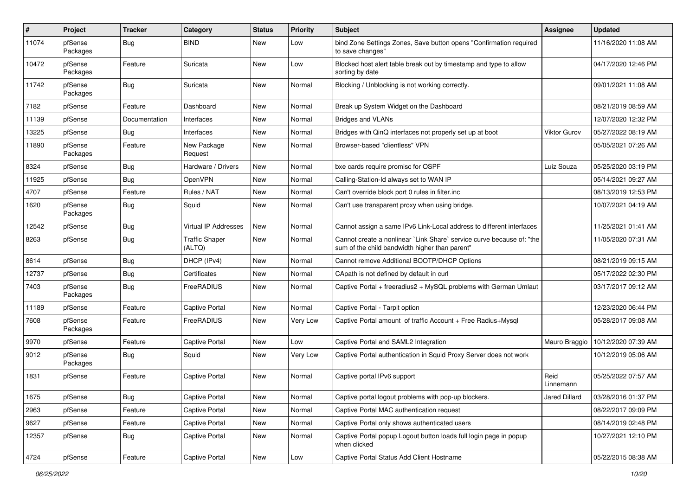| #     | Project             | <b>Tracker</b> | Category                        | <b>Status</b> | <b>Priority</b> | <b>Subject</b>                                                                                                          | Assignee            | <b>Updated</b>      |
|-------|---------------------|----------------|---------------------------------|---------------|-----------------|-------------------------------------------------------------------------------------------------------------------------|---------------------|---------------------|
| 11074 | pfSense<br>Packages | Bug            | <b>BIND</b>                     | New           | Low             | bind Zone Settings Zones, Save button opens "Confirmation required<br>to save changes"                                  |                     | 11/16/2020 11:08 AM |
| 10472 | pfSense<br>Packages | Feature        | Suricata                        | <b>New</b>    | Low             | Blocked host alert table break out by timestamp and type to allow<br>sorting by date                                    |                     | 04/17/2020 12:46 PM |
| 11742 | pfSense<br>Packages | <b>Bug</b>     | Suricata                        | <b>New</b>    | Normal          | Blocking / Unblocking is not working correctly.                                                                         |                     | 09/01/2021 11:08 AM |
| 7182  | pfSense             | Feature        | Dashboard                       | <b>New</b>    | Normal          | Break up System Widget on the Dashboard                                                                                 |                     | 08/21/2019 08:59 AM |
| 11139 | pfSense             | Documentation  | Interfaces                      | <b>New</b>    | Normal          | <b>Bridges and VLANs</b>                                                                                                |                     | 12/07/2020 12:32 PM |
| 13225 | pfSense             | <b>Bug</b>     | Interfaces                      | <b>New</b>    | Normal          | Bridges with QinQ interfaces not properly set up at boot                                                                | <b>Viktor Gurov</b> | 05/27/2022 08:19 AM |
| 11890 | pfSense<br>Packages | Feature        | New Package<br>Request          | New           | Normal          | Browser-based "clientless" VPN                                                                                          |                     | 05/05/2021 07:26 AM |
| 8324  | pfSense             | Bug            | Hardware / Drivers              | New           | Normal          | bxe cards require promisc for OSPF                                                                                      | Luiz Souza          | 05/25/2020 03:19 PM |
| 11925 | pfSense             | Bug            | OpenVPN                         | <b>New</b>    | Normal          | Calling-Station-Id always set to WAN IP                                                                                 |                     | 05/14/2021 09:27 AM |
| 4707  | pfSense             | Feature        | Rules / NAT                     | <b>New</b>    | Normal          | Can't override block port 0 rules in filter.inc                                                                         |                     | 08/13/2019 12:53 PM |
| 1620  | pfSense<br>Packages | Bug            | Squid                           | New           | Normal          | Can't use transparent proxy when using bridge.                                                                          |                     | 10/07/2021 04:19 AM |
| 12542 | pfSense             | <b>Bug</b>     | <b>Virtual IP Addresses</b>     | <b>New</b>    | Normal          | Cannot assign a same IPv6 Link-Local address to different interfaces                                                    |                     | 11/25/2021 01:41 AM |
| 8263  | pfSense             | Bug            | <b>Traffic Shaper</b><br>(ALTQ) | New           | Normal          | Cannot create a nonlinear `Link Share` service curve because of: "the<br>sum of the child bandwidth higher than parent" |                     | 11/05/2020 07:31 AM |
| 8614  | pfSense             | Bug            | DHCP (IPv4)                     | <b>New</b>    | Normal          | Cannot remove Additional BOOTP/DHCP Options                                                                             |                     | 08/21/2019 09:15 AM |
| 12737 | pfSense             | Bug            | Certificates                    | <b>New</b>    | Normal          | CApath is not defined by default in curl                                                                                |                     | 05/17/2022 02:30 PM |
| 7403  | pfSense<br>Packages | Bug            | FreeRADIUS                      | New           | Normal          | Captive Portal + freeradius2 + MySQL problems with German Umlaut                                                        |                     | 03/17/2017 09:12 AM |
| 11189 | pfSense             | Feature        | <b>Captive Portal</b>           | <b>New</b>    | Normal          | Captive Portal - Tarpit option                                                                                          |                     | 12/23/2020 06:44 PM |
| 7608  | pfSense<br>Packages | Feature        | FreeRADIUS                      | <b>New</b>    | Very Low        | Captive Portal amount of traffic Account + Free Radius+Mysql                                                            |                     | 05/28/2017 09:08 AM |
| 9970  | pfSense             | Feature        | Captive Portal                  | <b>New</b>    | Low             | Captive Portal and SAML2 Integration                                                                                    | Mauro Braggio       | 10/12/2020 07:39 AM |
| 9012  | pfSense<br>Packages | Bug            | Squid                           | <b>New</b>    | Very Low        | Captive Portal authentication in Squid Proxy Server does not work                                                       |                     | 10/12/2019 05:06 AM |
| 1831  | pfSense             | Feature        | <b>Captive Portal</b>           | New           | Normal          | Captive portal IPv6 support                                                                                             | Reid<br>Linnemann   | 05/25/2022 07:57 AM |
| 1675  | pfSense             | Bug            | Captive Portal                  | New           | Normal          | Captive portal logout problems with pop-up blockers.                                                                    | Jared Dillard       | 03/28/2016 01:37 PM |
| 2963  | pfSense             | Feature        | Captive Portal                  | New           | Normal          | Captive Portal MAC authentication request                                                                               |                     | 08/22/2017 09:09 PM |
| 9627  | pfSense             | Feature        | Captive Portal                  | New           | Normal          | Captive Portal only shows authenticated users                                                                           |                     | 08/14/2019 02:48 PM |
| 12357 | pfSense             | Bug            | Captive Portal                  | New           | Normal          | Captive Portal popup Logout button loads full login page in popup<br>when clicked                                       |                     | 10/27/2021 12:10 PM |
| 4724  | pfSense             | Feature        | Captive Portal                  | New           | Low             | Captive Portal Status Add Client Hostname                                                                               |                     | 05/22/2015 08:38 AM |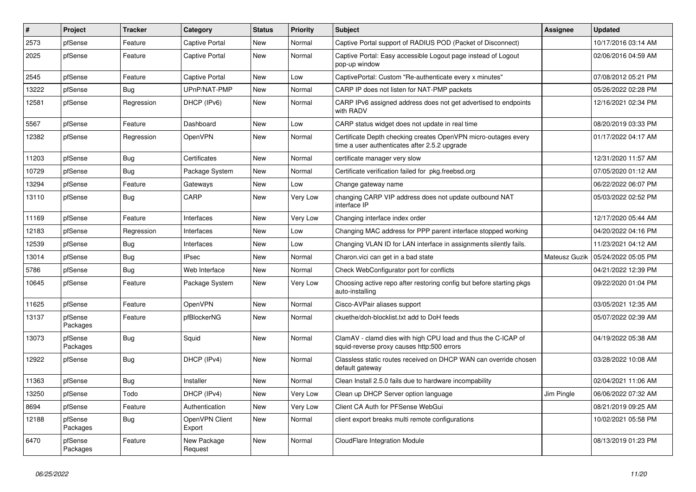| $\vert$ # | Project             | <b>Tracker</b> | Category                 | <b>Status</b> | <b>Priority</b> | <b>Subject</b>                                                                                                  | Assignee      | <b>Updated</b>      |
|-----------|---------------------|----------------|--------------------------|---------------|-----------------|-----------------------------------------------------------------------------------------------------------------|---------------|---------------------|
| 2573      | pfSense             | Feature        | <b>Captive Portal</b>    | <b>New</b>    | Normal          | Captive Portal support of RADIUS POD (Packet of Disconnect)                                                     |               | 10/17/2016 03:14 AM |
| 2025      | pfSense             | Feature        | <b>Captive Portal</b>    | <b>New</b>    | Normal          | Captive Portal: Easy accessible Logout page instead of Logout<br>pop-up window                                  |               | 02/06/2016 04:59 AM |
| 2545      | pfSense             | Feature        | <b>Captive Portal</b>    | <b>New</b>    | Low             | CaptivePortal: Custom "Re-authenticate every x minutes"                                                         |               | 07/08/2012 05:21 PM |
| 13222     | pfSense             | Bug            | UPnP/NAT-PMP             | <b>New</b>    | Normal          | CARP IP does not listen for NAT-PMP packets                                                                     |               | 05/26/2022 02:28 PM |
| 12581     | pfSense             | Regression     | DHCP (IPv6)              | <b>New</b>    | Normal          | CARP IPv6 assigned address does not get advertised to endpoints<br>with RADV                                    |               | 12/16/2021 02:34 PM |
| 5567      | pfSense             | Feature        | Dashboard                | <b>New</b>    | Low             | CARP status widget does not update in real time                                                                 |               | 08/20/2019 03:33 PM |
| 12382     | pfSense             | Regression     | OpenVPN                  | <b>New</b>    | Normal          | Certificate Depth checking creates OpenVPN micro-outages every<br>time a user authenticates after 2.5.2 upgrade |               | 01/17/2022 04:17 AM |
| 11203     | pfSense             | Bug            | Certificates             | <b>New</b>    | Normal          | certificate manager very slow                                                                                   |               | 12/31/2020 11:57 AM |
| 10729     | pfSense             | <b>Bug</b>     | Package System           | <b>New</b>    | Normal          | Certificate verification failed for pkg.freebsd.org                                                             |               | 07/05/2020 01:12 AM |
| 13294     | pfSense             | Feature        | Gateways                 | New           | Low             | Change gateway name                                                                                             |               | 06/22/2022 06:07 PM |
| 13110     | pfSense             | Bug            | CARP                     | <b>New</b>    | Very Low        | changing CARP VIP address does not update outbound NAT<br>interface IP                                          |               | 05/03/2022 02:52 PM |
| 11169     | pfSense             | Feature        | Interfaces               | New           | Very Low        | Changing interface index order                                                                                  |               | 12/17/2020 05:44 AM |
| 12183     | pfSense             | Regression     | Interfaces               | New           | Low             | Changing MAC address for PPP parent interface stopped working                                                   |               | 04/20/2022 04:16 PM |
| 12539     | pfSense             | Bug            | Interfaces               | <b>New</b>    | Low             | Changing VLAN ID for LAN interface in assignments silently fails.                                               |               | 11/23/2021 04:12 AM |
| 13014     | pfSense             | <b>Bug</b>     | <b>IPsec</b>             | <b>New</b>    | Normal          | Charon vici can get in a bad state                                                                              | Mateusz Guzik | 05/24/2022 05:05 PM |
| 5786      | pfSense             | Bug            | Web Interface            | <b>New</b>    | Normal          | Check WebConfigurator port for conflicts                                                                        |               | 04/21/2022 12:39 PM |
| 10645     | pfSense             | Feature        | Package System           | New           | Very Low        | Choosing active repo after restoring config but before starting pkgs<br>auto-installing                         |               | 09/22/2020 01:04 PM |
| 11625     | pfSense             | Feature        | OpenVPN                  | <b>New</b>    | Normal          | Cisco-AVPair aliases support                                                                                    |               | 03/05/2021 12:35 AM |
| 13137     | pfSense<br>Packages | Feature        | pfBlockerNG              | New           | Normal          | ckuethe/doh-blocklist.txt add to DoH feeds                                                                      |               | 05/07/2022 02:39 AM |
| 13073     | pfSense<br>Packages | <b>Bug</b>     | Squid                    | <b>New</b>    | Normal          | ClamAV - clamd dies with high CPU load and thus the C-ICAP of<br>squid-reverse proxy causes http:500 errors     |               | 04/19/2022 05:38 AM |
| 12922     | pfSense             | Bug            | DHCP (IPv4)              | <b>New</b>    | Normal          | Classless static routes received on DHCP WAN can override chosen<br>default gateway                             |               | 03/28/2022 10:08 AM |
| 11363     | pfSense             | Bug            | Installer                | <b>New</b>    | Normal          | Clean Install 2.5.0 fails due to hardware incompability                                                         |               | 02/04/2021 11:06 AM |
| 13250     | pfSense             | Todo           | DHCP (IPv4)              | <b>New</b>    | Very Low        | Clean up DHCP Server option language                                                                            | Jim Pingle    | 06/06/2022 07:32 AM |
| 8694      | pfSense             | Feature        | Authentication           | <b>New</b>    | Very Low        | Client CA Auth for PFSense WebGui                                                                               |               | 08/21/2019 09:25 AM |
| 12188     | pfSense<br>Packages | Bug            | OpenVPN Client<br>Export | <b>New</b>    | Normal          | client export breaks multi remote configurations                                                                |               | 10/02/2021 05:58 PM |
| 6470      | pfSense<br>Packages | Feature        | New Package<br>Request   | New           | Normal          | CloudFlare Integration Module                                                                                   |               | 08/13/2019 01:23 PM |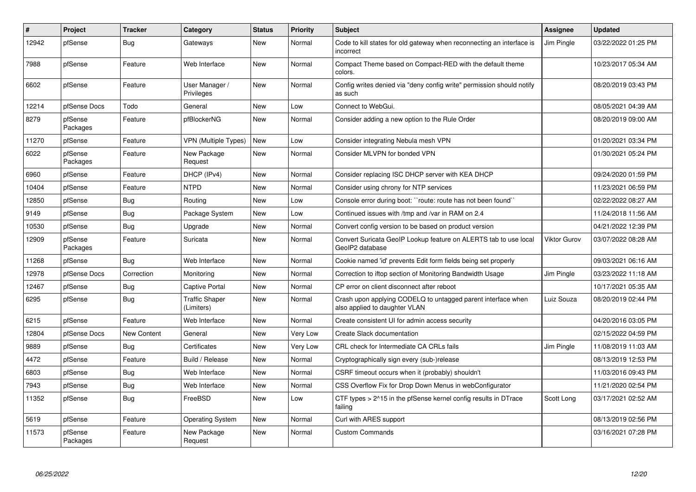| #     | Project             | <b>Tracker</b>     | Category                            | <b>Status</b> | <b>Priority</b> | <b>Subject</b>                                                                                | Assignee            | <b>Updated</b>      |
|-------|---------------------|--------------------|-------------------------------------|---------------|-----------------|-----------------------------------------------------------------------------------------------|---------------------|---------------------|
| 12942 | pfSense             | Bug                | Gateways                            | <b>New</b>    | Normal          | Code to kill states for old gateway when reconnecting an interface is<br>incorrect            | Jim Pingle          | 03/22/2022 01:25 PM |
| 7988  | pfSense             | Feature            | Web Interface                       | New           | Normal          | Compact Theme based on Compact-RED with the default theme<br>colors.                          |                     | 10/23/2017 05:34 AM |
| 6602  | pfSense             | Feature            | User Manager /<br>Privileges        | <b>New</b>    | Normal          | Config writes denied via "deny config write" permission should notify<br>as such              |                     | 08/20/2019 03:43 PM |
| 12214 | pfSense Docs        | Todo               | General                             | <b>New</b>    | Low             | Connect to WebGui.                                                                            |                     | 08/05/2021 04:39 AM |
| 8279  | pfSense<br>Packages | Feature            | pfBlockerNG                         | <b>New</b>    | Normal          | Consider adding a new option to the Rule Order                                                |                     | 08/20/2019 09:00 AM |
| 11270 | pfSense             | Feature            | <b>VPN (Multiple Types)</b>         | <b>New</b>    | Low             | Consider integrating Nebula mesh VPN                                                          |                     | 01/20/2021 03:34 PM |
| 6022  | pfSense<br>Packages | Feature            | New Package<br>Request              | <b>New</b>    | Normal          | Consider MLVPN for bonded VPN                                                                 |                     | 01/30/2021 05:24 PM |
| 6960  | pfSense             | Feature            | DHCP (IPv4)                         | <b>New</b>    | Normal          | Consider replacing ISC DHCP server with KEA DHCP                                              |                     | 09/24/2020 01:59 PM |
| 10404 | pfSense             | Feature            | <b>NTPD</b>                         | <b>New</b>    | Normal          | Consider using chrony for NTP services                                                        |                     | 11/23/2021 06:59 PM |
| 12850 | pfSense             | Bug                | Routing                             | <b>New</b>    | Low             | Console error during boot: "route: route has not been found"                                  |                     | 02/22/2022 08:27 AM |
| 9149  | pfSense             | <b>Bug</b>         | Package System                      | <b>New</b>    | Low             | Continued issues with /tmp and /var in RAM on 2.4                                             |                     | 11/24/2018 11:56 AM |
| 10530 | pfSense             | Bug                | Upgrade                             | <b>New</b>    | Normal          | Convert config version to be based on product version                                         |                     | 04/21/2022 12:39 PM |
| 12909 | pfSense<br>Packages | Feature            | Suricata                            | <b>New</b>    | Normal          | Convert Suricata GeoIP Lookup feature on ALERTS tab to use local<br>GeoIP2 database           | <b>Viktor Gurov</b> | 03/07/2022 08:28 AM |
| 11268 | pfSense             | Bug                | Web Interface                       | <b>New</b>    | Normal          | Cookie named 'id' prevents Edit form fields being set properly                                |                     | 09/03/2021 06:16 AM |
| 12978 | pfSense Docs        | Correction         | Monitoring                          | <b>New</b>    | Normal          | Correction to iftop section of Monitoring Bandwidth Usage                                     | Jim Pingle          | 03/23/2022 11:18 AM |
| 12467 | pfSense             | Bug                | Captive Portal                      | <b>New</b>    | Normal          | CP error on client disconnect after reboot                                                    |                     | 10/17/2021 05:35 AM |
| 6295  | pfSense             | <b>Bug</b>         | <b>Traffic Shaper</b><br>(Limiters) | New           | Normal          | Crash upon applying CODELQ to untagged parent interface when<br>also applied to daughter VLAN | Luiz Souza          | 08/20/2019 02:44 PM |
| 6215  | pfSense             | Feature            | Web Interface                       | <b>New</b>    | Normal          | Create consistent UI for admin access security                                                |                     | 04/20/2016 03:05 PM |
| 12804 | pfSense Docs        | <b>New Content</b> | General                             | <b>New</b>    | Very Low        | Create Slack documentation                                                                    |                     | 02/15/2022 04:59 PM |
| 9889  | pfSense             | Bug                | Certificates                        | <b>New</b>    | Very Low        | CRL check for Intermediate CA CRLs fails                                                      | Jim Pingle          | 11/08/2019 11:03 AM |
| 4472  | pfSense             | Feature            | Build / Release                     | <b>New</b>    | Normal          | Cryptographically sign every (sub-)release                                                    |                     | 08/13/2019 12:53 PM |
| 6803  | pfSense             | Bug                | Web Interface                       | <b>New</b>    | Normal          | CSRF timeout occurs when it (probably) shouldn't                                              |                     | 11/03/2016 09:43 PM |
| 7943  | pfSense             | <b>Bug</b>         | Web Interface                       | <b>New</b>    | Normal          | CSS Overflow Fix for Drop Down Menus in webConfigurator                                       |                     | 11/21/2020 02:54 PM |
| 11352 | pfSense             | Bug                | FreeBSD                             | New           | Low             | CTF types > 2^15 in the pfSense kernel config results in DTrace<br>failing                    | Scott Long          | 03/17/2021 02:52 AM |
| 5619  | pfSense             | Feature            | <b>Operating System</b>             | <b>New</b>    | Normal          | Curl with ARES support                                                                        |                     | 08/13/2019 02:56 PM |
| 11573 | pfSense<br>Packages | Feature            | New Package<br>Request              | <b>New</b>    | Normal          | <b>Custom Commands</b>                                                                        |                     | 03/16/2021 07:28 PM |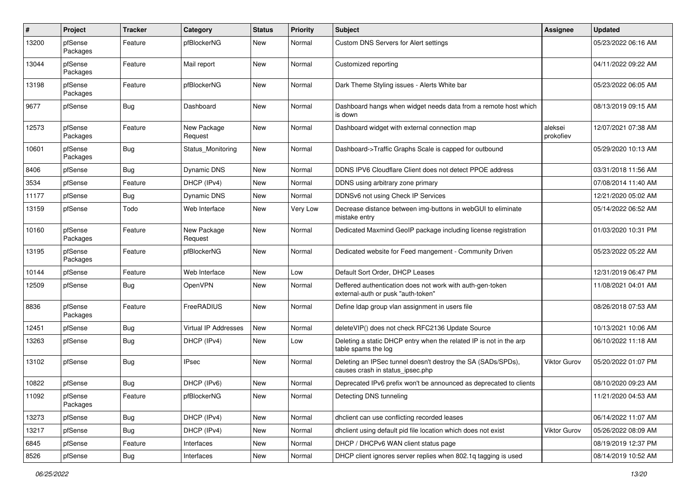| #     | Project             | <b>Tracker</b> | Category                    | <b>Status</b> | <b>Priority</b> | <b>Subject</b>                                                                                   | Assignee             | <b>Updated</b>      |
|-------|---------------------|----------------|-----------------------------|---------------|-----------------|--------------------------------------------------------------------------------------------------|----------------------|---------------------|
| 13200 | pfSense<br>Packages | Feature        | pfBlockerNG                 | <b>New</b>    | Normal          | Custom DNS Servers for Alert settings                                                            |                      | 05/23/2022 06:16 AM |
| 13044 | pfSense<br>Packages | Feature        | Mail report                 | <b>New</b>    | Normal          | Customized reporting                                                                             |                      | 04/11/2022 09:22 AM |
| 13198 | pfSense<br>Packages | Feature        | pfBlockerNG                 | <b>New</b>    | Normal          | Dark Theme Styling issues - Alerts White bar                                                     |                      | 05/23/2022 06:05 AM |
| 9677  | pfSense             | Bug            | Dashboard                   | New           | Normal          | Dashboard hangs when widget needs data from a remote host which<br>is down                       |                      | 08/13/2019 09:15 AM |
| 12573 | pfSense<br>Packages | Feature        | New Package<br>Request      | <b>New</b>    | Normal          | Dashboard widget with external connection map                                                    | aleksei<br>prokofiev | 12/07/2021 07:38 AM |
| 10601 | pfSense<br>Packages | Bug            | Status Monitoring           | New           | Normal          | Dashboard->Traffic Graphs Scale is capped for outbound                                           |                      | 05/29/2020 10:13 AM |
| 8406  | pfSense             | Bug            | <b>Dynamic DNS</b>          | <b>New</b>    | Normal          | DDNS IPV6 Cloudflare Client does not detect PPOE address                                         |                      | 03/31/2018 11:56 AM |
| 3534  | pfSense             | Feature        | DHCP (IPv4)                 | <b>New</b>    | Normal          | DDNS using arbitrary zone primary                                                                |                      | 07/08/2014 11:40 AM |
| 11177 | pfSense             | Bug            | Dynamic DNS                 | New           | Normal          | DDNSv6 not using Check IP Services                                                               |                      | 12/21/2020 05:02 AM |
| 13159 | pfSense             | Todo           | Web Interface               | <b>New</b>    | Very Low        | Decrease distance between img-buttons in webGUI to eliminate<br>mistake entry                    |                      | 05/14/2022 06:52 AM |
| 10160 | pfSense<br>Packages | Feature        | New Package<br>Request      | New           | Normal          | Dedicated Maxmind GeoIP package including license registration                                   |                      | 01/03/2020 10:31 PM |
| 13195 | pfSense<br>Packages | Feature        | pfBlockerNG                 | <b>New</b>    | Normal          | Dedicated website for Feed mangement - Community Driven                                          |                      | 05/23/2022 05:22 AM |
| 10144 | pfSense             | Feature        | Web Interface               | <b>New</b>    | Low             | Default Sort Order, DHCP Leases                                                                  |                      | 12/31/2019 06:47 PM |
| 12509 | pfSense             | Bug            | OpenVPN                     | New           | Normal          | Deffered authentication does not work with auth-gen-token<br>external-auth or pusk "auth-token"  |                      | 11/08/2021 04:01 AM |
| 8836  | pfSense<br>Packages | Feature        | FreeRADIUS                  | <b>New</b>    | Normal          | Define Idap group vlan assignment in users file                                                  |                      | 08/26/2018 07:53 AM |
| 12451 | pfSense             | Bug            | <b>Virtual IP Addresses</b> | New           | Normal          | deleteVIP() does not check RFC2136 Update Source                                                 |                      | 10/13/2021 10:06 AM |
| 13263 | pfSense             | <b>Bug</b>     | DHCP (IPv4)                 | New           | Low             | Deleting a static DHCP entry when the related IP is not in the arp<br>table spams the log        |                      | 06/10/2022 11:18 AM |
| 13102 | pfSense             | Bug            | <b>IPsec</b>                | <b>New</b>    | Normal          | Deleting an IPSec tunnel doesn't destroy the SA (SADs/SPDs),<br>causes crash in status_ipsec.php | Viktor Gurov         | 05/20/2022 01:07 PM |
| 10822 | pfSense             | <b>Bug</b>     | DHCP (IPv6)                 | <b>New</b>    | Normal          | Deprecated IPv6 prefix won't be announced as deprecated to clients                               |                      | 08/10/2020 09:23 AM |
| 11092 | pfSense<br>Packages | Feature        | pfBlockerNG                 | New           | Normal          | Detecting DNS tunneling                                                                          |                      | 11/21/2020 04:53 AM |
| 13273 | pfSense             | <b>Bug</b>     | DHCP (IPv4)                 | New           | Normal          | dhclient can use conflicting recorded leases                                                     |                      | 06/14/2022 11:07 AM |
| 13217 | pfSense             | <b>Bug</b>     | DHCP (IPv4)                 | New           | Normal          | dhclient using default pid file location which does not exist                                    | <b>Viktor Gurov</b>  | 05/26/2022 08:09 AM |
| 6845  | pfSense             | Feature        | Interfaces                  | New           | Normal          | DHCP / DHCPv6 WAN client status page                                                             |                      | 08/19/2019 12:37 PM |
| 8526  | pfSense             | Bug            | Interfaces                  | New           | Normal          | DHCP client ignores server replies when 802.1g tagging is used                                   |                      | 08/14/2019 10:52 AM |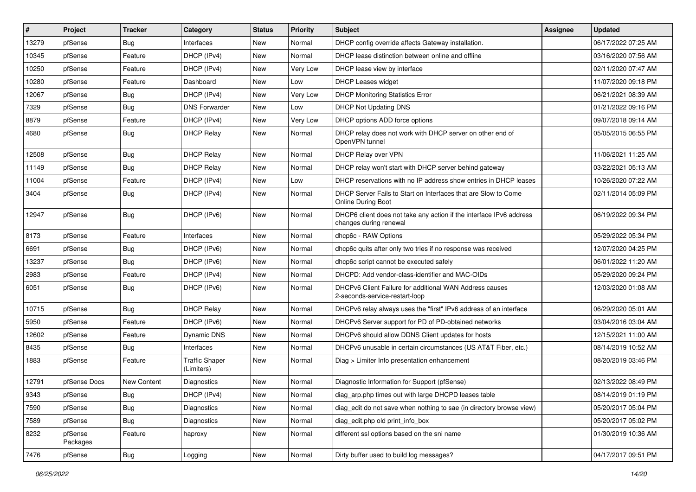| #     | Project             | <b>Tracker</b> | Category                            | <b>Status</b> | <b>Priority</b> | Subject                                                                                       | Assignee | <b>Updated</b>      |
|-------|---------------------|----------------|-------------------------------------|---------------|-----------------|-----------------------------------------------------------------------------------------------|----------|---------------------|
| 13279 | pfSense             | <b>Bug</b>     | Interfaces                          | New           | Normal          | DHCP config override affects Gateway installation.                                            |          | 06/17/2022 07:25 AM |
| 10345 | pfSense             | Feature        | DHCP (IPv4)                         | New           | Normal          | DHCP lease distinction between online and offline                                             |          | 03/16/2020 07:56 AM |
| 10250 | pfSense             | Feature        | DHCP (IPv4)                         | New           | Very Low        | DHCP lease view by interface                                                                  |          | 02/11/2020 07:47 AM |
| 10280 | pfSense             | Feature        | Dashboard                           | New           | Low             | <b>DHCP Leases widget</b>                                                                     |          | 11/07/2020 09:18 PM |
| 12067 | pfSense             | <b>Bug</b>     | DHCP (IPv4)                         | New           | Very Low        | <b>DHCP Monitoring Statistics Error</b>                                                       |          | 06/21/2021 08:39 AM |
| 7329  | pfSense             | <b>Bug</b>     | <b>DNS Forwarder</b>                | New           | Low             | DHCP Not Updating DNS                                                                         |          | 01/21/2022 09:16 PM |
| 8879  | pfSense             | Feature        | DHCP (IPv4)                         | New           | Very Low        | DHCP options ADD force options                                                                |          | 09/07/2018 09:14 AM |
| 4680  | pfSense             | <b>Bug</b>     | <b>DHCP Relay</b>                   | <b>New</b>    | Normal          | DHCP relay does not work with DHCP server on other end of<br>OpenVPN tunnel                   |          | 05/05/2015 06:55 PM |
| 12508 | pfSense             | <b>Bug</b>     | <b>DHCP Relay</b>                   | <b>New</b>    | Normal          | DHCP Relay over VPN                                                                           |          | 11/06/2021 11:25 AM |
| 11149 | pfSense             | <b>Bug</b>     | <b>DHCP Relay</b>                   | New           | Normal          | DHCP relay won't start with DHCP server behind gateway                                        |          | 03/22/2021 05:13 AM |
| 11004 | pfSense             | Feature        | DHCP (IPv4)                         | New           | Low             | DHCP reservations with no IP address show entries in DHCP leases                              |          | 10/26/2020 07:22 AM |
| 3404  | pfSense             | <b>Bug</b>     | DHCP (IPv4)                         | New           | Normal          | DHCP Server Fails to Start on Interfaces that are Slow to Come<br>Online During Boot          |          | 02/11/2014 05:09 PM |
| 12947 | pfSense             | Bug            | DHCP (IPv6)                         | <b>New</b>    | Normal          | DHCP6 client does not take any action if the interface IPv6 address<br>changes during renewal |          | 06/19/2022 09:34 PM |
| 8173  | pfSense             | Feature        | Interfaces                          | New           | Normal          | dhcp6c - RAW Options                                                                          |          | 05/29/2022 05:34 PM |
| 6691  | pfSense             | <b>Bug</b>     | DHCP (IPv6)                         | <b>New</b>    | Normal          | dhcp6c quits after only two tries if no response was received                                 |          | 12/07/2020 04:25 PM |
| 13237 | pfSense             | <b>Bug</b>     | DHCP (IPv6)                         | New           | Normal          | dhcp6c script cannot be executed safely                                                       |          | 06/01/2022 11:20 AM |
| 2983  | pfSense             | Feature        | DHCP (IPv4)                         | New           | Normal          | DHCPD: Add vendor-class-identifier and MAC-OIDs                                               |          | 05/29/2020 09:24 PM |
| 6051  | pfSense             | <b>Bug</b>     | DHCP (IPv6)                         | <b>New</b>    | Normal          | DHCPv6 Client Failure for additional WAN Address causes<br>2-seconds-service-restart-loop     |          | 12/03/2020 01:08 AM |
| 10715 | pfSense             | Bug            | <b>DHCP Relay</b>                   | <b>New</b>    | Normal          | DHCPv6 relay always uses the "first" IPv6 address of an interface                             |          | 06/29/2020 05:01 AM |
| 5950  | pfSense             | Feature        | DHCP (IPv6)                         | New           | Normal          | DHCPv6 Server support for PD of PD-obtained networks                                          |          | 03/04/2016 03:04 AM |
| 12602 | pfSense             | Feature        | Dynamic DNS                         | New           | Normal          | DHCPv6 should allow DDNS Client updates for hosts                                             |          | 12/15/2021 11:00 AM |
| 8435  | pfSense             | <b>Bug</b>     | Interfaces                          | New           | Normal          | DHCPv6 unusable in certain circumstances (US AT&T Fiber, etc.)                                |          | 08/14/2019 10:52 AM |
| 1883  | pfSense             | Feature        | <b>Traffic Shaper</b><br>(Limiters) | New           | Normal          | Diag > Limiter Info presentation enhancement                                                  |          | 08/20/2019 03:46 PM |
| 12791 | pfSense Docs        | New Content    | Diagnostics                         | <b>New</b>    | Normal          | Diagnostic Information for Support (pfSense)                                                  |          | 02/13/2022 08:49 PM |
| 9343  | pfSense             | Bug            | DHCP (IPv4)                         | New           | Normal          | diag arp.php times out with large DHCPD leases table                                          |          | 08/14/2019 01:19 PM |
| 7590  | pfSense             | <b>Bug</b>     | Diagnostics                         | New           | Normal          | diag edit do not save when nothing to sae (in directory browse view)                          |          | 05/20/2017 05:04 PM |
| 7589  | pfSense             | <b>Bug</b>     | Diagnostics                         | New           | Normal          | diag edit.php old print info box                                                              |          | 05/20/2017 05:02 PM |
| 8232  | pfSense<br>Packages | Feature        | haproxy                             | New           | Normal          | different ssl options based on the sni name                                                   |          | 01/30/2019 10:36 AM |
| 7476  | pfSense             | i Bug          | Logging                             | New           | Normal          | Dirty buffer used to build log messages?                                                      |          | 04/17/2017 09:51 PM |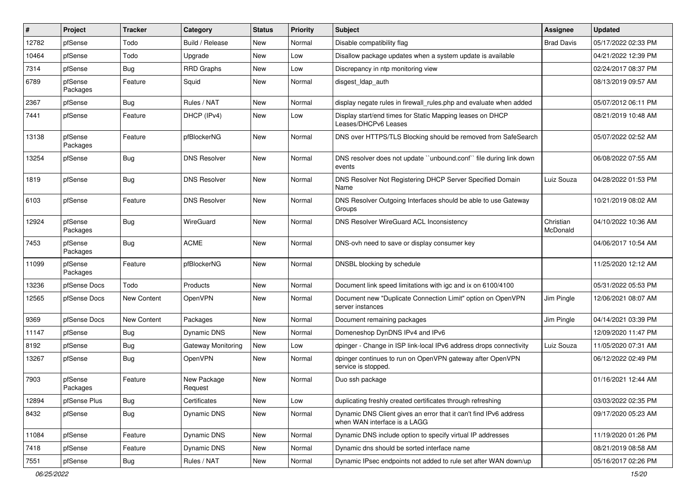| #     | Project             | <b>Tracker</b> | Category               | <b>Status</b> | <b>Priority</b> | Subject                                                                                           | Assignee              | <b>Updated</b>      |
|-------|---------------------|----------------|------------------------|---------------|-----------------|---------------------------------------------------------------------------------------------------|-----------------------|---------------------|
| 12782 | pfSense             | Todo           | Build / Release        | New           | Normal          | Disable compatibility flag                                                                        | <b>Brad Davis</b>     | 05/17/2022 02:33 PM |
| 10464 | pfSense             | Todo           | Upgrade                | New           | Low             | Disallow package updates when a system update is available                                        |                       | 04/21/2022 12:39 PM |
| 7314  | pfSense             | Bug            | <b>RRD Graphs</b>      | New           | Low             | Discrepancy in ntp monitoring view                                                                |                       | 02/24/2017 08:37 PM |
| 6789  | pfSense<br>Packages | Feature        | Squid                  | New           | Normal          | disgest_ldap_auth                                                                                 |                       | 08/13/2019 09:57 AM |
| 2367  | pfSense             | Bug            | Rules / NAT            | New           | Normal          | display negate rules in firewall rules php and evaluate when added                                |                       | 05/07/2012 06:11 PM |
| 7441  | pfSense             | Feature        | DHCP (IPv4)            | New           | Low             | Display start/end times for Static Mapping leases on DHCP<br>Leases/DHCPv6 Leases                 |                       | 08/21/2019 10:48 AM |
| 13138 | pfSense<br>Packages | Feature        | pfBlockerNG            | New           | Normal          | DNS over HTTPS/TLS Blocking should be removed from SafeSearch                                     |                       | 05/07/2022 02:52 AM |
| 13254 | pfSense             | <b>Bug</b>     | <b>DNS Resolver</b>    | New           | Normal          | DNS resolver does not update "unbound.conf" file during link down<br>events                       |                       | 06/08/2022 07:55 AM |
| 1819  | pfSense             | <b>Bug</b>     | <b>DNS Resolver</b>    | New           | Normal          | DNS Resolver Not Registering DHCP Server Specified Domain<br>Name                                 | Luiz Souza            | 04/28/2022 01:53 PM |
| 6103  | pfSense             | Feature        | <b>DNS Resolver</b>    | New           | Normal          | DNS Resolver Outgoing Interfaces should be able to use Gateway<br>Groups                          |                       | 10/21/2019 08:02 AM |
| 12924 | pfSense<br>Packages | Bug            | WireGuard              | New           | Normal          | DNS Resolver WireGuard ACL Inconsistency                                                          | Christian<br>McDonald | 04/10/2022 10:36 AM |
| 7453  | pfSense<br>Packages | <b>Bug</b>     | <b>ACME</b>            | New           | Normal          | DNS-ovh need to save or display consumer key                                                      |                       | 04/06/2017 10:54 AM |
| 11099 | pfSense<br>Packages | Feature        | pfBlockerNG            | New           | Normal          | DNSBL blocking by schedule                                                                        |                       | 11/25/2020 12:12 AM |
| 13236 | pfSense Docs        | Todo           | Products               | New           | Normal          | Document link speed limitations with igc and ix on 6100/4100                                      |                       | 05/31/2022 05:53 PM |
| 12565 | pfSense Docs        | New Content    | OpenVPN                | New           | Normal          | Document new "Duplicate Connection Limit" option on OpenVPN<br>server instances                   | Jim Pingle            | 12/06/2021 08:07 AM |
| 9369  | pfSense Docs        | New Content    | Packages               | New           | Normal          | Document remaining packages                                                                       | Jim Pingle            | 04/14/2021 03:39 PM |
| 11147 | pfSense             | <b>Bug</b>     | <b>Dynamic DNS</b>     | <b>New</b>    | Normal          | Domeneshop DynDNS IPv4 and IPv6                                                                   |                       | 12/09/2020 11:47 PM |
| 8192  | pfSense             | <b>Bug</b>     | Gateway Monitoring     | New           | Low             | dpinger - Change in ISP link-local IPv6 address drops connectivity                                | Luiz Souza            | 11/05/2020 07:31 AM |
| 13267 | pfSense             | <b>Bug</b>     | OpenVPN                | New           | Normal          | dpinger continues to run on OpenVPN gateway after OpenVPN<br>service is stopped.                  |                       | 06/12/2022 02:49 PM |
| 7903  | pfSense<br>Packages | Feature        | New Package<br>Request | New           | Normal          | Duo ssh package                                                                                   |                       | 01/16/2021 12:44 AM |
| 12894 | pfSense Plus        | <b>Bug</b>     | Certificates           | New           | Low             | duplicating freshly created certificates through refreshing                                       |                       | 03/03/2022 02:35 PM |
| 8432  | pfSense             | Bug            | Dynamic DNS            | New           | Normal          | Dynamic DNS Client gives an error that it can't find IPv6 address<br>when WAN interface is a LAGG |                       | 09/17/2020 05:23 AM |
| 11084 | pfSense             | Feature        | Dynamic DNS            | New           | Normal          | Dynamic DNS include option to specify virtual IP addresses                                        |                       | 11/19/2020 01:26 PM |
| 7418  | pfSense             | Feature        | Dynamic DNS            | New           | Normal          | Dynamic dns should be sorted interface name                                                       |                       | 08/21/2019 08:58 AM |
| 7551  | pfSense             | Bug            | Rules / NAT            | New           | Normal          | Dynamic IPsec endpoints not added to rule set after WAN down/up                                   |                       | 05/16/2017 02:26 PM |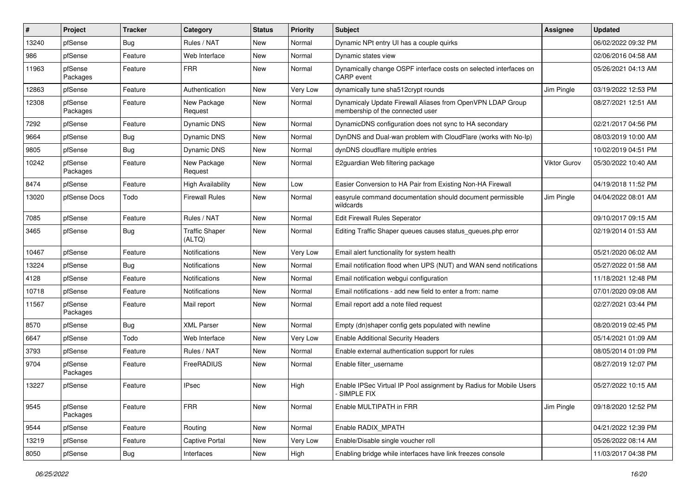| #     | Project             | <b>Tracker</b> | Category                        | <b>Status</b> | <b>Priority</b> | <b>Subject</b>                                                                                 | <b>Assignee</b>     | <b>Updated</b>      |
|-------|---------------------|----------------|---------------------------------|---------------|-----------------|------------------------------------------------------------------------------------------------|---------------------|---------------------|
| 13240 | pfSense             | <b>Bug</b>     | Rules / NAT                     | <b>New</b>    | Normal          | Dynamic NPt entry UI has a couple quirks                                                       |                     | 06/02/2022 09:32 PM |
| 986   | pfSense             | Feature        | Web Interface                   | <b>New</b>    | Normal          | Dynamic states view                                                                            |                     | 02/06/2016 04:58 AM |
| 11963 | pfSense<br>Packages | Feature        | <b>FRR</b>                      | New           | Normal          | Dynamically change OSPF interface costs on selected interfaces on<br><b>CARP</b> event         |                     | 05/26/2021 04:13 AM |
| 12863 | pfSense             | Feature        | Authentication                  | <b>New</b>    | <b>Very Low</b> | dynamically tune sha512crypt rounds                                                            | Jim Pingle          | 03/19/2022 12:53 PM |
| 12308 | pfSense<br>Packages | Feature        | New Package<br>Request          | New           | Normal          | Dynamicaly Update Firewall Aliases from OpenVPN LDAP Group<br>membership of the connected user |                     | 08/27/2021 12:51 AM |
| 7292  | pfSense             | Feature        | <b>Dynamic DNS</b>              | <b>New</b>    | Normal          | DynamicDNS configuration does not sync to HA secondary                                         |                     | 02/21/2017 04:56 PM |
| 9664  | pfSense             | <b>Bug</b>     | Dvnamic DNS                     | <b>New</b>    | Normal          | DynDNS and Dual-wan problem with CloudFlare (works with No-Ip)                                 |                     | 08/03/2019 10:00 AM |
| 9805  | pfSense             | <b>Bug</b>     | <b>Dynamic DNS</b>              | <b>New</b>    | Normal          | dynDNS cloudflare multiple entries                                                             |                     | 10/02/2019 04:51 PM |
| 10242 | pfSense<br>Packages | Feature        | New Package<br>Request          | New           | Normal          | E2guardian Web filtering package                                                               | <b>Viktor Gurov</b> | 05/30/2022 10:40 AM |
| 8474  | pfSense             | Feature        | <b>High Availability</b>        | <b>New</b>    | Low             | Easier Conversion to HA Pair from Existing Non-HA Firewall                                     |                     | 04/19/2018 11:52 PM |
| 13020 | pfSense Docs        | Todo           | Firewall Rules                  | New           | Normal          | easyrule command documentation should document permissible<br>wildcards                        | Jim Pingle          | 04/04/2022 08:01 AM |
| 7085  | pfSense             | Feature        | Rules / NAT                     | <b>New</b>    | Normal          | <b>Edit Firewall Rules Seperator</b>                                                           |                     | 09/10/2017 09:15 AM |
| 3465  | pfSense             | <b>Bug</b>     | <b>Traffic Shaper</b><br>(ALTQ) | <b>New</b>    | Normal          | Editing Traffic Shaper queues causes status queues.php error                                   |                     | 02/19/2014 01:53 AM |
| 10467 | pfSense             | Feature        | Notifications                   | <b>New</b>    | <b>Very Low</b> | Email alert functionality for system health                                                    |                     | 05/21/2020 06:02 AM |
| 13224 | pfSense             | Bug            | Notifications                   | <b>New</b>    | Normal          | Email notification flood when UPS (NUT) and WAN send notifications                             |                     | 05/27/2022 01:58 AM |
| 4128  | pfSense             | Feature        | Notifications                   | <b>New</b>    | Normal          | Email notification webgui configuration                                                        |                     | 11/18/2021 12:48 PM |
| 10718 | pfSense             | Feature        | Notifications                   | <b>New</b>    | Normal          | Email notifications - add new field to enter a from: name                                      |                     | 07/01/2020 09:08 AM |
| 11567 | pfSense<br>Packages | Feature        | Mail report                     | <b>New</b>    | Normal          | Email report add a note filed request                                                          |                     | 02/27/2021 03:44 PM |
| 8570  | pfSense             | <b>Bug</b>     | <b>XML Parser</b>               | <b>New</b>    | Normal          | Empty (dn)shaper config gets populated with newline                                            |                     | 08/20/2019 02:45 PM |
| 6647  | pfSense             | Todo           | Web Interface                   | <b>New</b>    | <b>Very Low</b> | <b>Enable Additional Security Headers</b>                                                      |                     | 05/14/2021 01:09 AM |
| 3793  | pfSense             | Feature        | Rules / NAT                     | <b>New</b>    | Normal          | Enable external authentication support for rules                                               |                     | 08/05/2014 01:09 PM |
| 9704  | pfSense<br>Packages | Feature        | FreeRADIUS                      | <b>New</b>    | Normal          | Enable filter_username                                                                         |                     | 08/27/2019 12:07 PM |
| 13227 | pfSense             | Feature        | <b>IPsec</b>                    | <b>New</b>    | High            | Enable IPSec Virtual IP Pool assignment by Radius for Mobile Users<br><b>SIMPLE FIX</b>        |                     | 05/27/2022 10:15 AM |
| 9545  | pfSense<br>Packages | Feature        | <b>FRR</b>                      | New           | Normal          | Enable MULTIPATH in FRR                                                                        | Jim Pingle          | 09/18/2020 12:52 PM |
| 9544  | pfSense             | Feature        | Routing                         | New           | Normal          | Enable RADIX_MPATH                                                                             |                     | 04/21/2022 12:39 PM |
| 13219 | pfSense             | Feature        | Captive Portal                  | <b>New</b>    | Very Low        | Enable/Disable single voucher roll                                                             |                     | 05/26/2022 08:14 AM |
| 8050  | pfSense             | Bug            | Interfaces                      | New           | High            | Enabling bridge while interfaces have link freezes console                                     |                     | 11/03/2017 04:38 PM |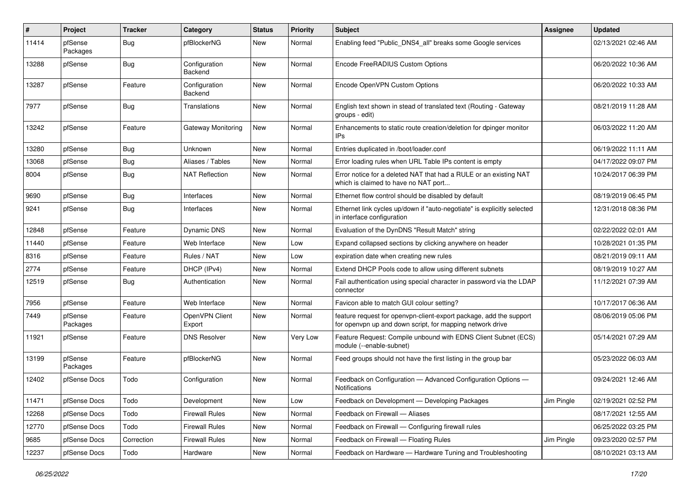| $\vert$ # | Project             | <b>Tracker</b> | Category                 | <b>Status</b> | <b>Priority</b> | <b>Subject</b>                                                                                                                  | Assignee   | <b>Updated</b>      |
|-----------|---------------------|----------------|--------------------------|---------------|-----------------|---------------------------------------------------------------------------------------------------------------------------------|------------|---------------------|
| 11414     | pfSense<br>Packages | Bug            | pfBlockerNG              | <b>New</b>    | Normal          | Enabling feed "Public_DNS4_all" breaks some Google services                                                                     |            | 02/13/2021 02:46 AM |
| 13288     | pfSense             | Bug            | Configuration<br>Backend | <b>New</b>    | Normal          | Encode FreeRADIUS Custom Options                                                                                                |            | 06/20/2022 10:36 AM |
| 13287     | pfSense             | Feature        | Configuration<br>Backend | New           | Normal          | Encode OpenVPN Custom Options                                                                                                   |            | 06/20/2022 10:33 AM |
| 7977      | pfSense             | <b>Bug</b>     | Translations             | New           | Normal          | English text shown in stead of translated text (Routing - Gateway<br>groups - edit)                                             |            | 08/21/2019 11:28 AM |
| 13242     | pfSense             | Feature        | Gateway Monitoring       | New           | Normal          | Enhancements to static route creation/deletion for dpinger monitor<br>IP <sub>s</sub>                                           |            | 06/03/2022 11:20 AM |
| 13280     | pfSense             | <b>Bug</b>     | Unknown                  | New           | Normal          | Entries duplicated in /boot/loader.conf                                                                                         |            | 06/19/2022 11:11 AM |
| 13068     | pfSense             | Bug            | Aliases / Tables         | <b>New</b>    | Normal          | Error loading rules when URL Table IPs content is empty                                                                         |            | 04/17/2022 09:07 PM |
| 8004      | pfSense             | <b>Bug</b>     | <b>NAT Reflection</b>    | New           | Normal          | Error notice for a deleted NAT that had a RULE or an existing NAT<br>which is claimed to have no NAT port                       |            | 10/24/2017 06:39 PM |
| 9690      | pfSense             | <b>Bug</b>     | Interfaces               | New           | Normal          | Ethernet flow control should be disabled by default                                                                             |            | 08/19/2019 06:45 PM |
| 9241      | pfSense             | Bug            | Interfaces               | New           | Normal          | Ethernet link cycles up/down if "auto-negotiate" is explicitly selected<br>in interface configuration                           |            | 12/31/2018 08:36 PM |
| 12848     | pfSense             | Feature        | Dynamic DNS              | New           | Normal          | Evaluation of the DynDNS "Result Match" string                                                                                  |            | 02/22/2022 02:01 AM |
| 11440     | pfSense             | Feature        | Web Interface            | New           | Low             | Expand collapsed sections by clicking anywhere on header                                                                        |            | 10/28/2021 01:35 PM |
| 8316      | pfSense             | Feature        | Rules / NAT              | New           | Low             | expiration date when creating new rules                                                                                         |            | 08/21/2019 09:11 AM |
| 2774      | pfSense             | Feature        | DHCP (IPv4)              | <b>New</b>    | Normal          | Extend DHCP Pools code to allow using different subnets                                                                         |            | 08/19/2019 10:27 AM |
| 12519     | pfSense             | Bug            | Authentication           | New           | Normal          | Fail authentication using special character in password via the LDAP<br>connector                                               |            | 11/12/2021 07:39 AM |
| 7956      | pfSense             | Feature        | Web Interface            | <b>New</b>    | Normal          | Favicon able to match GUI colour setting?                                                                                       |            | 10/17/2017 06:36 AM |
| 7449      | pfSense<br>Packages | Feature        | OpenVPN Client<br>Export | New           | Normal          | feature request for openvpn-client-export package, add the support<br>for openvpn up and down script, for mapping network drive |            | 08/06/2019 05:06 PM |
| 11921     | pfSense             | Feature        | <b>DNS Resolver</b>      | <b>New</b>    | Very Low        | Feature Request: Compile unbound with EDNS Client Subnet (ECS)<br>module (--enable-subnet)                                      |            | 05/14/2021 07:29 AM |
| 13199     | pfSense<br>Packages | Feature        | pfBlockerNG              | <b>New</b>    | Normal          | Feed groups should not have the first listing in the group bar                                                                  |            | 05/23/2022 06:03 AM |
| 12402     | pfSense Docs        | Todo           | Configuration            | <b>New</b>    | Normal          | Feedback on Configuration - Advanced Configuration Options -<br><b>Notifications</b>                                            |            | 09/24/2021 12:46 AM |
| 11471     | pfSense Docs        | Todo           | Development              | New           | Low             | Feedback on Development - Developing Packages                                                                                   | Jim Pingle | 02/19/2021 02:52 PM |
| 12268     | pfSense Docs        | Todo           | <b>Firewall Rules</b>    | New           | Normal          | Feedback on Firewall - Aliases                                                                                                  |            | 08/17/2021 12:55 AM |
| 12770     | pfSense Docs        | Todo           | <b>Firewall Rules</b>    | New           | Normal          | Feedback on Firewall - Configuring firewall rules                                                                               |            | 06/25/2022 03:25 PM |
| 9685      | pfSense Docs        | Correction     | <b>Firewall Rules</b>    | New           | Normal          | Feedback on Firewall - Floating Rules                                                                                           | Jim Pingle | 09/23/2020 02:57 PM |
| 12237     | pfSense Docs        | Todo           | Hardware                 | New           | Normal          | Feedback on Hardware - Hardware Tuning and Troubleshooting                                                                      |            | 08/10/2021 03:13 AM |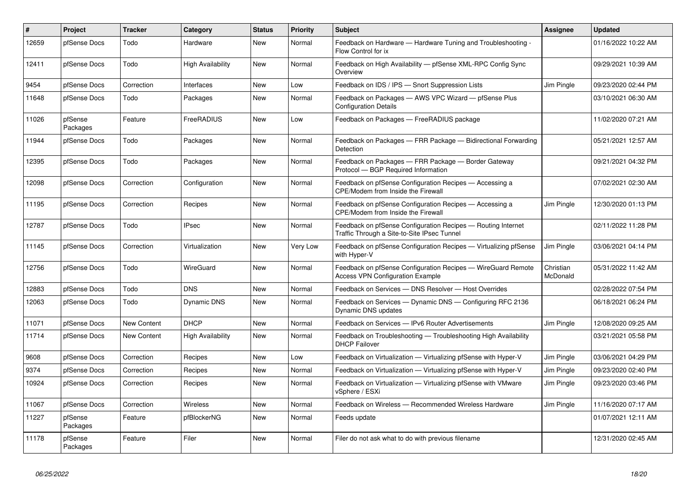| ∥ #   | <b>Project</b>      | <b>Tracker</b>     | Category          | <b>Status</b> | <b>Priority</b> | <b>Subject</b>                                                                                              | <b>Assignee</b>       | <b>Updated</b>      |
|-------|---------------------|--------------------|-------------------|---------------|-----------------|-------------------------------------------------------------------------------------------------------------|-----------------------|---------------------|
| 12659 | pfSense Docs        | Todo               | Hardware          | New           | Normal          | Feedback on Hardware - Hardware Tuning and Troubleshooting -<br>Flow Control for ix                         |                       | 01/16/2022 10:22 AM |
| 12411 | pfSense Docs        | Todo               | High Availability | <b>New</b>    | Normal          | Feedback on High Availability - pfSense XML-RPC Config Sync<br>Overview                                     |                       | 09/29/2021 10:39 AM |
| 9454  | pfSense Docs        | Correction         | Interfaces        | <b>New</b>    | Low             | Feedback on IDS / IPS - Snort Suppression Lists                                                             | Jim Pingle            | 09/23/2020 02:44 PM |
| 11648 | pfSense Docs        | Todo               | Packages          | <b>New</b>    | Normal          | Feedback on Packages - AWS VPC Wizard - pfSense Plus<br><b>Configuration Details</b>                        |                       | 03/10/2021 06:30 AM |
| 11026 | pfSense<br>Packages | Feature            | FreeRADIUS        | <b>New</b>    | Low             | Feedback on Packages - FreeRADIUS package                                                                   |                       | 11/02/2020 07:21 AM |
| 11944 | pfSense Docs        | Todo               | Packages          | <b>New</b>    | Normal          | Feedback on Packages - FRR Package - Bidirectional Forwarding<br>Detection                                  |                       | 05/21/2021 12:57 AM |
| 12395 | pfSense Docs        | Todo               | Packages          | New           | Normal          | Feedback on Packages - FRR Package - Border Gateway<br>Protocol - BGP Required Information                  |                       | 09/21/2021 04:32 PM |
| 12098 | pfSense Docs        | Correction         | Configuration     | <b>New</b>    | Normal          | Feedback on pfSense Configuration Recipes - Accessing a<br>CPE/Modem from Inside the Firewall               |                       | 07/02/2021 02:30 AM |
| 11195 | pfSense Docs        | Correction         | Recipes           | New           | Normal          | Feedback on pfSense Configuration Recipes - Accessing a<br>CPE/Modem from Inside the Firewall               | Jim Pingle            | 12/30/2020 01:13 PM |
| 12787 | pfSense Docs        | Todo               | <b>IPsec</b>      | New           | Normal          | Feedback on pfSense Configuration Recipes - Routing Internet<br>Traffic Through a Site-to-Site IPsec Tunnel |                       | 02/11/2022 11:28 PM |
| 11145 | pfSense Docs        | Correction         | Virtualization    | <b>New</b>    | Very Low        | Feedback on pfSense Configuration Recipes — Virtualizing pfSense<br>with Hyper-V                            | Jim Pingle            | 03/06/2021 04:14 PM |
| 12756 | pfSense Docs        | Todo               | WireGuard         | <b>New</b>    | Normal          | Feedback on pfSense Configuration Recipes - WireGuard Remote<br><b>Access VPN Configuration Example</b>     | Christian<br>McDonald | 05/31/2022 11:42 AM |
| 12883 | pfSense Docs        | Todo               | <b>DNS</b>        | <b>New</b>    | Normal          | Feedback on Services - DNS Resolver - Host Overrides                                                        |                       | 02/28/2022 07:54 PM |
| 12063 | pfSense Docs        | Todo               | Dynamic DNS       | New           | Normal          | Feedback on Services - Dynamic DNS - Configuring RFC 2136<br>Dynamic DNS updates                            |                       | 06/18/2021 06:24 PM |
| 11071 | pfSense Docs        | <b>New Content</b> | <b>DHCP</b>       | <b>New</b>    | Normal          | Feedback on Services - IPv6 Router Advertisements                                                           | Jim Pingle            | 12/08/2020 09:25 AM |
| 11714 | pfSense Docs        | New Content        | High Availability | <b>New</b>    | Normal          | Feedback on Troubleshooting - Troubleshooting High Availability<br><b>DHCP Failover</b>                     |                       | 03/21/2021 05:58 PM |
| 9608  | pfSense Docs        | Correction         | Recipes           | <b>New</b>    | Low             | Feedback on Virtualization - Virtualizing pfSense with Hyper-V                                              | Jim Pingle            | 03/06/2021 04:29 PM |
| 9374  | pfSense Docs        | Correction         | Recipes           | <b>New</b>    | Normal          | Feedback on Virtualization - Virtualizing pfSense with Hyper-V                                              | Jim Pingle            | 09/23/2020 02:40 PM |
| 10924 | pfSense Docs        | Correction         | Recipes           | New           | Normal          | Feedback on Virtualization — Virtualizing pfSense with VMware<br>vSphere / ESXi                             | Jim Pingle            | 09/23/2020 03:46 PM |
| 11067 | pfSense Docs        | Correction         | Wireless          | New           | Normal          | Feedback on Wireless - Recommended Wireless Hardware                                                        | Jim Pingle            | 11/16/2020 07:17 AM |
| 11227 | pfSense<br>Packages | Feature            | pfBlockerNG       | New           | Normal          | Feeds update                                                                                                |                       | 01/07/2021 12:11 AM |
| 11178 | pfSense<br>Packages | Feature            | Filer             | <b>New</b>    | Normal          | Filer do not ask what to do with previous filename                                                          |                       | 12/31/2020 02:45 AM |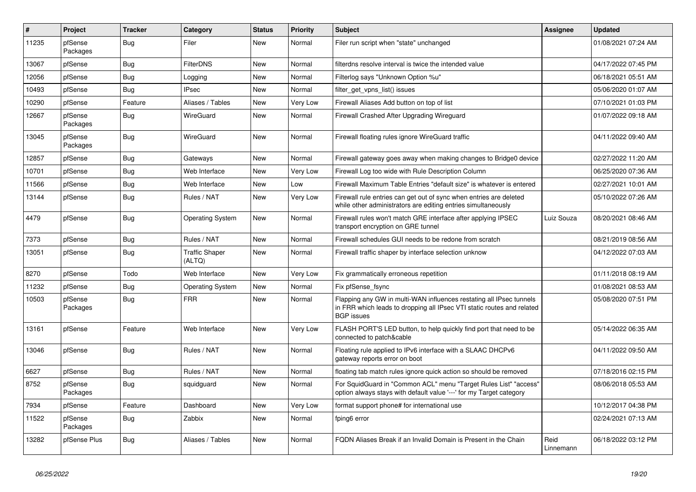| #     | Project             | <b>Tracker</b> | Category                        | <b>Status</b> | <b>Priority</b> | <b>Subject</b>                                                                                                                                                     | Assignee          | <b>Updated</b>      |
|-------|---------------------|----------------|---------------------------------|---------------|-----------------|--------------------------------------------------------------------------------------------------------------------------------------------------------------------|-------------------|---------------------|
| 11235 | pfSense<br>Packages | Bug            | Filer                           | <b>New</b>    | Normal          | Filer run script when "state" unchanged                                                                                                                            |                   | 01/08/2021 07:24 AM |
| 13067 | pfSense             | Bug            | <b>FilterDNS</b>                | New           | Normal          | filterdns resolve interval is twice the intended value                                                                                                             |                   | 04/17/2022 07:45 PM |
| 12056 | pfSense             | Bug            | Logging                         | New           | Normal          | Filterlog says "Unknown Option %u"                                                                                                                                 |                   | 06/18/2021 05:51 AM |
| 10493 | pfSense             | <b>Bug</b>     | <b>IPsec</b>                    | New           | Normal          | filter get vpns list() issues                                                                                                                                      |                   | 05/06/2020 01:07 AM |
| 10290 | pfSense             | Feature        | Aliases / Tables                | New           | <b>Very Low</b> | Firewall Aliases Add button on top of list                                                                                                                         |                   | 07/10/2021 01:03 PM |
| 12667 | pfSense<br>Packages | Bug            | WireGuard                       | New           | Normal          | Firewall Crashed After Upgrading Wireguard                                                                                                                         |                   | 01/07/2022 09:18 AM |
| 13045 | pfSense<br>Packages | <b>Bug</b>     | WireGuard                       | <b>New</b>    | Normal          | Firewall floating rules ignore WireGuard traffic                                                                                                                   |                   | 04/11/2022 09:40 AM |
| 12857 | pfSense             | <b>Bug</b>     | Gateways                        | <b>New</b>    | Normal          | Firewall gateway goes away when making changes to Bridge0 device                                                                                                   |                   | 02/27/2022 11:20 AM |
| 10701 | pfSense             | <b>Bug</b>     | Web Interface                   | <b>New</b>    | Very Low        | Firewall Log too wide with Rule Description Column                                                                                                                 |                   | 06/25/2020 07:36 AM |
| 11566 | pfSense             | Bug            | Web Interface                   | New           | Low             | Firewall Maximum Table Entries "default size" is whatever is entered                                                                                               |                   | 02/27/2021 10:01 AM |
| 13144 | pfSense             | <b>Bug</b>     | Rules / NAT                     | <b>New</b>    | Very Low        | Firewall rule entries can get out of sync when entries are deleted<br>while other administrators are editing entries simultaneously                                |                   | 05/10/2022 07:26 AM |
| 4479  | pfSense             | <b>Bug</b>     | <b>Operating System</b>         | <b>New</b>    | Normal          | Firewall rules won't match GRE interface after applying IPSEC<br>transport encryption on GRE tunnel                                                                | Luiz Souza        | 08/20/2021 08:46 AM |
| 7373  | pfSense             | Bug            | Rules / NAT                     | New           | Normal          | Firewall schedules GUI needs to be redone from scratch                                                                                                             |                   | 08/21/2019 08:56 AM |
| 13051 | pfSense             | Bug            | <b>Traffic Shaper</b><br>(ALTQ) | New           | Normal          | Firewall traffic shaper by interface selection unknow                                                                                                              |                   | 04/12/2022 07:03 AM |
| 8270  | pfSense             | Todo           | Web Interface                   | New           | Very Low        | Fix grammatically erroneous repetition                                                                                                                             |                   | 01/11/2018 08:19 AM |
| 11232 | pfSense             | <b>Bug</b>     | <b>Operating System</b>         | <b>New</b>    | Normal          | Fix pfSense_fsync                                                                                                                                                  |                   | 01/08/2021 08:53 AM |
| 10503 | pfSense<br>Packages | Bug            | <b>FRR</b>                      | New           | Normal          | Flapping any GW in multi-WAN influences restating all IPsec tunnels<br>in FRR which leads to dropping all IPsec VTI static routes and related<br><b>BGP</b> issues |                   | 05/08/2020 07:51 PM |
| 13161 | pfSense             | Feature        | Web Interface                   | <b>New</b>    | Very Low        | FLASH PORT'S LED button, to help quickly find port that need to be<br>connected to patch&cable                                                                     |                   | 05/14/2022 06:35 AM |
| 13046 | pfSense             | Bug            | Rules / NAT                     | <b>New</b>    | Normal          | Floating rule applied to IPv6 interface with a SLAAC DHCPv6<br>gateway reports error on boot                                                                       |                   | 04/11/2022 09:50 AM |
| 6627  | pfSense             | <b>Bug</b>     | Rules / NAT                     | New           | Normal          | floating tab match rules ignore quick action so should be removed                                                                                                  |                   | 07/18/2016 02:15 PM |
| 8752  | pfSense<br>Packages | <b>Bug</b>     | squidguard                      | <b>New</b>    | Normal          | For SquidGuard in "Common ACL" menu "Target Rules List" "access"<br>option always stays with default value '---' for my Target category                            |                   | 08/06/2018 05:53 AM |
| 7934  | pfSense             | Feature        | Dashboard                       | New           | Very Low        | format support phone# for international use                                                                                                                        |                   | 10/12/2017 04:38 PM |
| 11522 | pfSense<br>Packages | <b>Bug</b>     | Zabbix                          | New           | Normal          | fping6 error                                                                                                                                                       |                   | 02/24/2021 07:13 AM |
| 13282 | pfSense Plus        | <b>Bug</b>     | Aliases / Tables                | <b>New</b>    | Normal          | FQDN Aliases Break if an Invalid Domain is Present in the Chain                                                                                                    | Reid<br>Linnemann | 06/18/2022 03:12 PM |